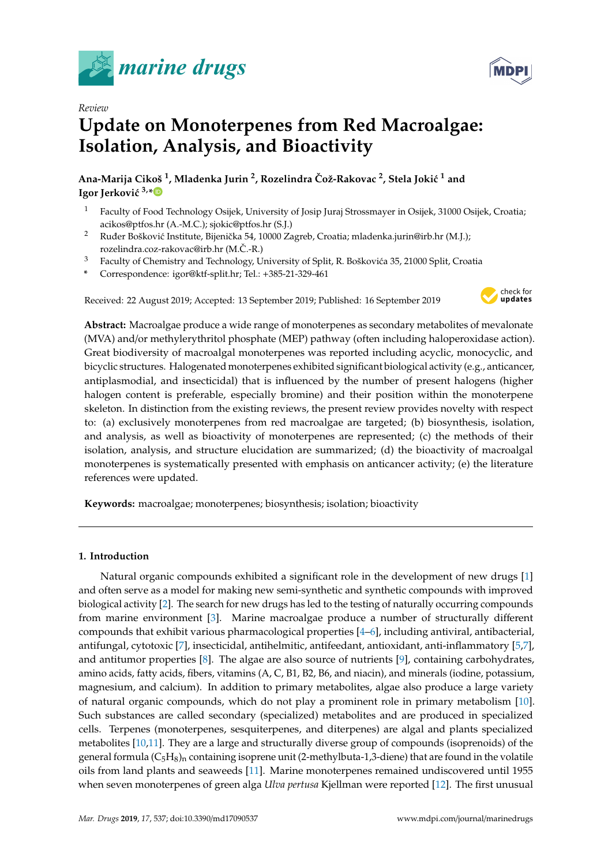



# *Review* **Update on Monoterpenes from Red Macroalgae: Isolation, Analysis, and Bioactivity**

**Ana-Marija Cikoš <sup>1</sup> , Mladenka Jurin <sup>2</sup> , Rozelindra Což-Rakovac ˇ <sup>2</sup> , Stela Joki´c <sup>1</sup> and Igor Jerković**  $3, *$  $3, *$ 

- <sup>1</sup> Faculty of Food Technology Osijek, University of Josip Juraj Strossmayer in Osijek, 31000 Osijek, Croatia; acikos@ptfos.hr (A.-M.C.); sjokic@ptfos.hr (S.J.)
- <sup>2</sup> Ruđer Bošković Institute, Bijenička 54, 10000 Zagreb, Croatia; mladenka.jurin@irb.hr (M.J.); rozelindra.coz-rakovac@irb.hr (M.Č.-R.)
- Faculty of Chemistry and Technology, University of Split, R. Boškovića 35, 21000 Split, Croatia
- **\*** Correspondence: igor@ktf-split.hr; Tel.: +385-21-329-461

Received: 22 August 2019; Accepted: 13 September 2019; Published: 16 September 2019



**Abstract:** Macroalgae produce a wide range of monoterpenes as secondary metabolites of mevalonate (MVA) and/or methylerythritol phosphate (MEP) pathway (often including haloperoxidase action). Great biodiversity of macroalgal monoterpenes was reported including acyclic, monocyclic, and bicyclic structures. Halogenated monoterpenes exhibited significant biological activity (e.g., anticancer, antiplasmodial, and insecticidal) that is influenced by the number of present halogens (higher halogen content is preferable, especially bromine) and their position within the monoterpene skeleton. In distinction from the existing reviews, the present review provides novelty with respect to: (a) exclusively monoterpenes from red macroalgae are targeted; (b) biosynthesis, isolation, and analysis, as well as bioactivity of monoterpenes are represented; (c) the methods of their isolation, analysis, and structure elucidation are summarized; (d) the bioactivity of macroalgal monoterpenes is systematically presented with emphasis on anticancer activity; (e) the literature references were updated.

**Keywords:** macroalgae; monoterpenes; biosynthesis; isolation; bioactivity

# **1. Introduction**

Natural organic compounds exhibited a significant role in the development of new drugs [\[1\]](#page-15-0) and often serve as a model for making new semi-synthetic and synthetic compounds with improved biological activity [\[2\]](#page-16-0). The search for new drugs has led to the testing of naturally occurring compounds from marine environment [\[3\]](#page-16-1). Marine macroalgae produce a number of structurally different compounds that exhibit various pharmacological properties [\[4](#page-16-2)[–6\]](#page-16-3), including antiviral, antibacterial, antifungal, cytotoxic [\[7\]](#page-16-4), insecticidal, antihelmitic, antifeedant, antioxidant, anti-inflammatory [\[5,](#page-16-5)[7\]](#page-16-4), and antitumor properties [\[8\]](#page-16-6). The algae are also source of nutrients [\[9\]](#page-16-7), containing carbohydrates, amino acids, fatty acids, fibers, vitamins (A, C, B1, B2, B6, and niacin), and minerals (iodine, potassium, magnesium, and calcium). In addition to primary metabolites, algae also produce a large variety of natural organic compounds, which do not play a prominent role in primary metabolism [\[10\]](#page-16-8). Such substances are called secondary (specialized) metabolites and are produced in specialized cells. Terpenes (monoterpenes, sesquiterpenes, and diterpenes) are algal and plants specialized metabolites [\[10,](#page-16-8)[11\]](#page-16-9). They are a large and structurally diverse group of compounds (isoprenoids) of the general formula  $(C_5H_8)$ <sub>n</sub> containing isoprene unit (2-methylbuta-1,3-diene) that are found in the volatile oils from land plants and seaweeds [\[11\]](#page-16-9). Marine monoterpenes remained undiscovered until 1955 when seven monoterpenes of green alga *Ulva pertusa* Kjellman were reported [\[12\]](#page-16-10). The first unusual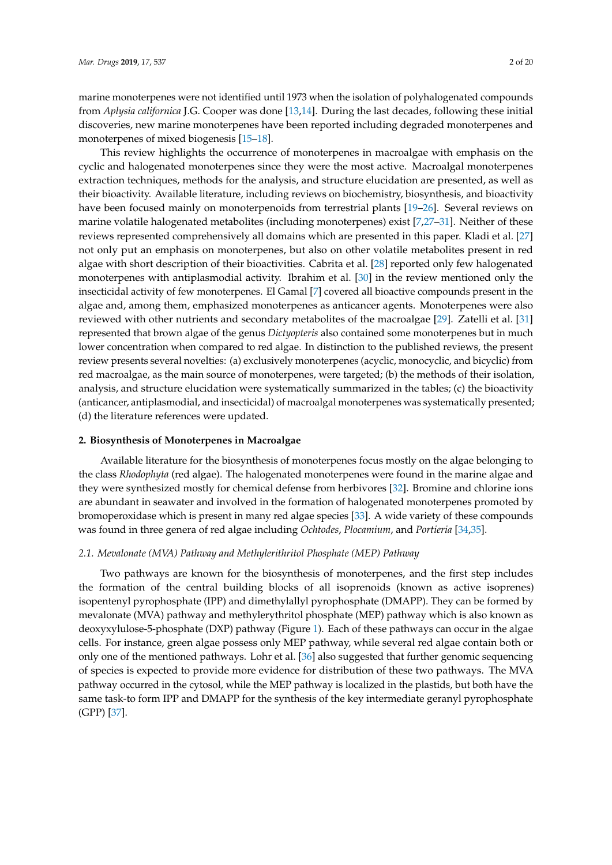marine monoterpenes were not identified until 1973 when the isolation of polyhalogenated compounds from *Aplysia californica* J.G. Cooper was done [\[13](#page-16-11)[,14\]](#page-16-12). During the last decades, following these initial discoveries, new marine monoterpenes have been reported including degraded monoterpenes and monoterpenes of mixed biogenesis [\[15](#page-16-13)[–18\]](#page-16-14).

This review highlights the occurrence of monoterpenes in macroalgae with emphasis on the cyclic and halogenated monoterpenes since they were the most active. Macroalgal monoterpenes extraction techniques, methods for the analysis, and structure elucidation are presented, as well as their bioactivity. Available literature, including reviews on biochemistry, biosynthesis, and bioactivity have been focused mainly on monoterpenoids from terrestrial plants [\[19–](#page-16-15)[26\]](#page-17-0). Several reviews on marine volatile halogenated metabolites (including monoterpenes) exist [\[7,](#page-16-4)[27](#page-17-1)[–31\]](#page-17-2). Neither of these reviews represented comprehensively all domains which are presented in this paper. Kladi et al. [\[27\]](#page-17-1) not only put an emphasis on monoterpenes, but also on other volatile metabolites present in red algae with short description of their bioactivities. Cabrita et al. [\[28\]](#page-17-3) reported only few halogenated monoterpenes with antiplasmodial activity. Ibrahim et al. [\[30\]](#page-17-4) in the review mentioned only the insecticidal activity of few monoterpenes. El Gamal [\[7\]](#page-16-4) covered all bioactive compounds present in the algae and, among them, emphasized monoterpenes as anticancer agents. Monoterpenes were also reviewed with other nutrients and secondary metabolites of the macroalgae [\[29\]](#page-17-5). Zatelli et al. [\[31\]](#page-17-2) represented that brown algae of the genus *Dictyopteris* also contained some monoterpenes but in much lower concentration when compared to red algae. In distinction to the published reviews, the present review presents several novelties: (a) exclusively monoterpenes (acyclic, monocyclic, and bicyclic) from red macroalgae, as the main source of monoterpenes, were targeted; (b) the methods of their isolation, analysis, and structure elucidation were systematically summarized in the tables; (c) the bioactivity (anticancer, antiplasmodial, and insecticidal) of macroalgal monoterpenes was systematically presented; (d) the literature references were updated.

#### **2. Biosynthesis of Monoterpenes in Macroalgae**

Available literature for the biosynthesis of monoterpenes focus mostly on the algae belonging to the class *Rhodophyta* (red algae). The halogenated monoterpenes were found in the marine algae and they were synthesized mostly for chemical defense from herbivores [\[32\]](#page-17-6). Bromine and chlorine ions are abundant in seawater and involved in the formation of halogenated monoterpenes promoted by bromoperoxidase which is present in many red algae species [\[33\]](#page-17-7). A wide variety of these compounds was found in three genera of red algae including *Ochtodes*, *Plocamium*, and *Portieria* [\[34](#page-17-8)[,35\]](#page-17-9).

## *2.1. Mevalonate (MVA) Pathway and Methylerithritol Phosphate (MEP) Pathway*

Two pathways are known for the biosynthesis of monoterpenes, and the first step includes the formation of the central building blocks of all isoprenoids (known as active isoprenes) isopentenyl pyrophosphate (IPP) and dimethylallyl pyrophosphate (DMAPP). They can be formed by mevalonate (MVA) pathway and methylerythritol phosphate (MEP) pathway which is also known as deoxyxylulose-5-phosphate (DXP) pathway (Figure [1\)](#page-2-0). Each of these pathways can occur in the algae cells. For instance, green algae possess only MEP pathway, while several red algae contain both or only one of the mentioned pathways. Lohr et al. [\[36\]](#page-17-10) also suggested that further genomic sequencing of species is expected to provide more evidence for distribution of these two pathways. The MVA pathway occurred in the cytosol, while the MEP pathway is localized in the plastids, but both have the same task-to form IPP and DMAPP for the synthesis of the key intermediate geranyl pyrophosphate (GPP) [\[37\]](#page-17-11).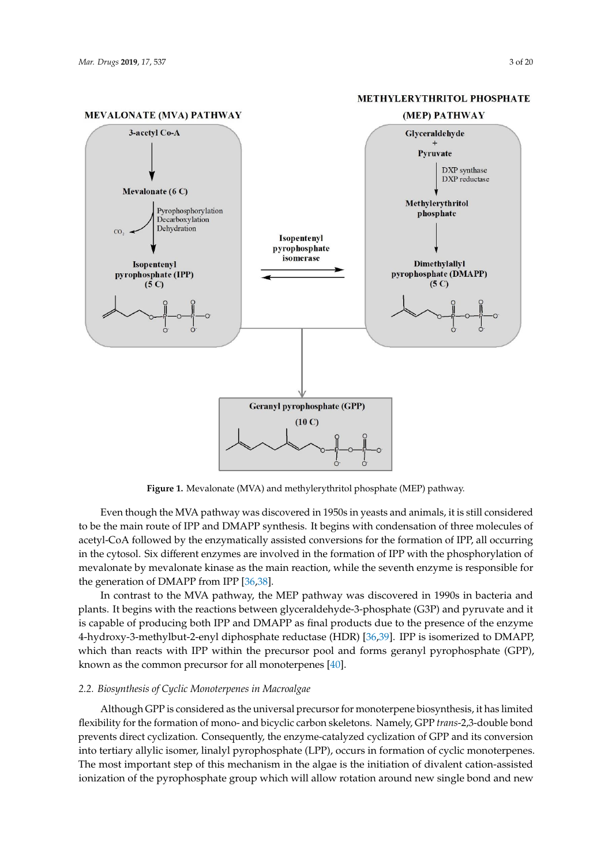<span id="page-2-0"></span>

#### **METHYLERYTHRITOL PHOSPHATE**

**Figure 1.** Mevalonate (MVA) and methylerythritol phosphate (MEP) pathway. **Figure 1.** Mevalonate (MVA) and methylerythritol phosphate (MEP) pathway.

*2.2. Biosynthesis of Cyclic Monoterpenes in Macroalgae* Even though the MVA pathway was discovered in 1950s in yeasts and animals, it is still considered acetyl-CoA followed by the enzymatically assisted conversions for the formation of IPP, all occurring acetyl-CoA followed by the enzymatically assisted conversions for the formation of IPP, all occurring in the cytosol. Six different enzymes are involved in the formation of IPP with the phosphorylation of double bond prevents direct consequent direct cyclinization. Consequently, the enzyme-catalyzed cyclinization of GPP and  $\alpha$ mevalonate by mevalonate kinase as the main reaction, while the seventh enzyme is responsible for<br>distribution of cyclic and cyclic contract the seventh enzyme is responsible for to be the main route of IPP and DMAPP synthesis. It begins with condensation of three molecules of the generation of DMAPP from IPP [\[36,](#page-17-10)[38\]](#page-17-12).

In contrast to the MVA pathway, the MEP pathway was discovered in 1990s in bacteria and In contrast to the MVA pathway, the MEP pathway was discovered in 1990s in bacteria and plants. It begins with the reactions between glyceraldehyde-3-phosphate (G3P) and pyruvate and it pants. It eegals with the reactions between gryecianachy ac *ε* phospinite (GST) and pyrawlic and it is capable of producing both IPP and DMAPP as final products due to the presence of the enzyme a-Terpine of producing both 1.1 and BMT.1.1 as that products due to the presence of the endytherd-<br>4-hydroxy-3-methylbut-2-enyl diphosphate reductase (HDR) [\[36](#page-17-10)[,39\]](#page-17-13). IPP is isomerized to DMAPP,  $\frac{1}{10}$  is  $\frac{1}{10}$  in  $\frac{1}{10}$  generate a variety of monoterpene cyclic and bicyclic and bicyclic carbon  $\frac{1}{10}$ which than reacts with IPP within the precursor pool and forms geranyl pyrophosphate (GPP),<br>he saw as the convenience success for all means tempere  $[40]$ known as the common precursor for all monoterpenes [\[40\]](#page-17-14).

# 2.2. Biosynthesis of Cyclic Monoterpenes in Macroalgae

Although GPP is considered as the universal precursor for monoterpene biosynthesis, it has limited flexibility for the formation of mono- and bicyclic carbon skeletons. Namely, GPP *trans*-2,3-double bond prevents direct cyclization. Consequently, the enzyme-catalyzed cyclization of GPP and its conversion into tertiary allylic isomer, linalyl pyrophosphate (LPP), occurs in formation of cyclic monoterpenes. The most important step of this mechanism in the algae is the initiation of divalent cation-assisted ionization of the pyrophosphate group which will allow rotation around new single bond and new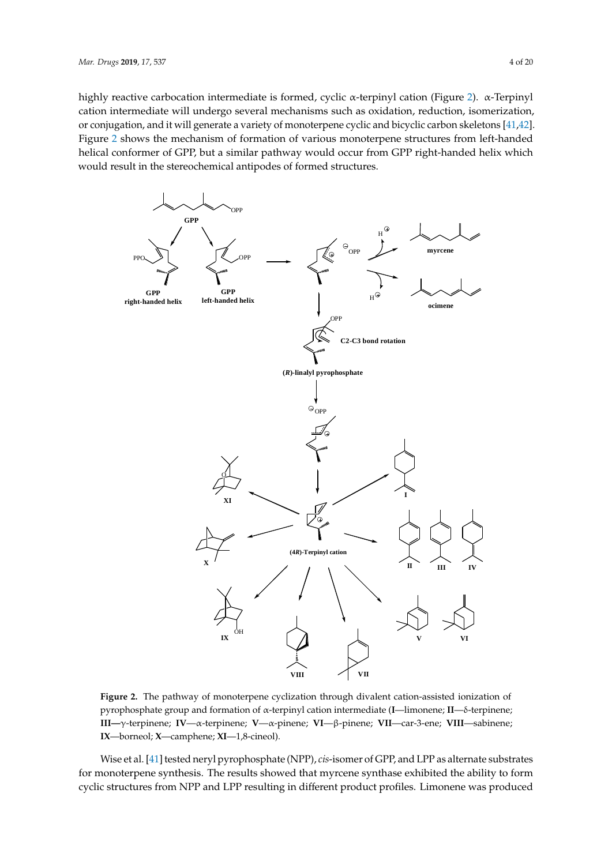highly reactive carbocation intermediate is formed, cyclic α-terpinyl cation (Figure [2\)](#page-3-0). α-Terpinyl cation intermediate will undergo several mechanisms such as oxidation, reduction, isomerization, or conjugation, and it will generate a variety of monoterpene cyclic and bicyclic carbon skeletons [\[41](#page-17-15)[,42\]](#page-17-16). Figure [2](#page-3-0) shows the mechanism of formation of various monoterpene structures from left-handed helical conformer of GPP, but a similar pathway would occur from GPP right-handed helix which would result in the stereochemical antipodes of formed structures. *Mar. Drugs* **2019**, *17*, x 4 of 21

<span id="page-3-0"></span>

**Figure 2.** The pathway of monoterpene cyclization through divalent cation-assisted ionization of **Figure 2.** The pathway of monoterpene cyclization through divalent cation-assisted ionization of pyrophosphate group and formation of α-terpinyl cation intermediate (**I**—limonene; **II**—δ-terpinene; pyrophosphate group and formation of α-terpinyl cation intermediate (**I**—limonene; **II**—δ-terpinene; III-γ-terpinene; IV-α-terpinene; V-α-pinene; VI-β-pinene; VII-car-3-ene; VIII-sabinene; **IX**—borneol; **X**—camphene; **XI**—1,8-cineol). **IX**—borneol; **X**—camphene; **XI**—1,8-cineol).

Wise et al. [41] tested neryl pyrophosphate (NPP), *cis*-isomer of GPP, and LPP as alternate substrates Wise et al. [\[41\]](#page-17-15) tested neryl pyrophosphate (NPP), *cis*-isomer of GPP, and LPP as alternate substrates for monoterpene synthesis. The results showed that myrcene synthase exhibited the ability to form cyclic structures from NPP and LPP resulting in different product profiles. Limonene was produced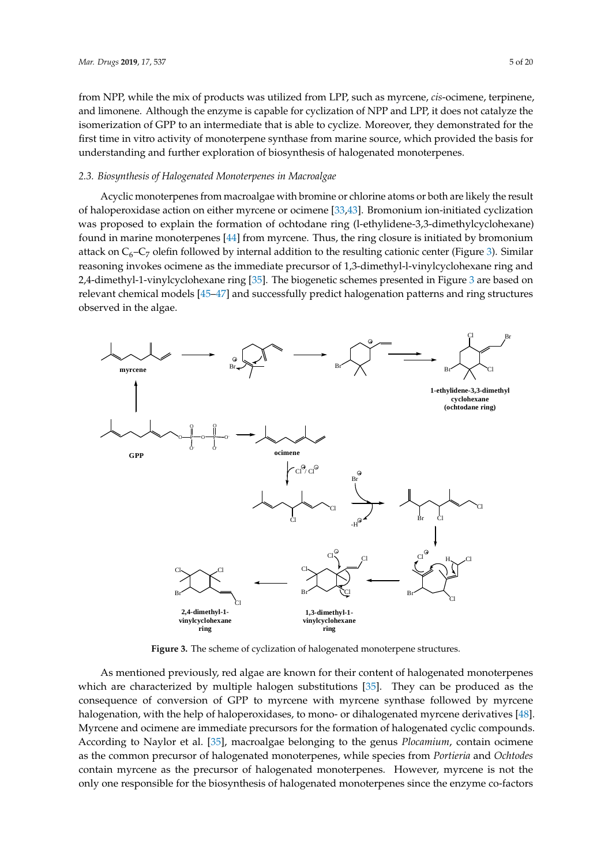from NPP, while the mix of products was utilized from LPP, such as myrcene, *cis*-ocimene, terpinene, and limonene. Although the enzyme is capable for cyclization of NPP and LPP, it does not catalyze the isomerization of GPP to an intermediate that is able to cyclize. Moreover, they demonstrated for the first time in vitro activity of monoterpene synthase from marine source, which provided the basis for understanding and further exploration of biosynthesis of halogenated monoterpenes.

#### *2.3. Biosynthesis of Halogenated Monoterpenes in Macroalgae Mar. Drugs* **2019**, *17*, x 5 of 21

Acyclic monoterpenes from macroalgae with bromine or chlorine atoms or both are likely the result of haloperoxidase action on either myrcene or ocimene [\[33,](#page-17-7)[43\]](#page-17-17). Bromonium ion-initiated cyclization was proposed to explain the formation of ochtodane ring (l-ethylidene-3,3-dimethylcyclohexane)<br>
cyclidation was proposed to explain the formation of ochtodane ring (l-ethylidene-3,3-dimethylcyclohexane) found in marine monoterpenes  $[44]$  from myrcene. Thus, the ring closure is initiated by bromonium attack on  $C_6$ – $C_7$  olefin followed by internal addition to the resulting cationic center (Figure [3\)](#page-4-0). Similar reasoning invokes ocimene as the immediate precursor of 1,3-dimethyl-l-vinylcyclohexane ring and center (Figure 3). Similar reasoning invokes ocimene as the immediate precursor of 1,3-dimethyl-l-2,4-dimethyl-1-vinylcyclohexane ring [\[35\]](#page-17-9). The biogenetic schemes presented in Figure [3](#page-4-0) are based on vinylcyclohexane ring and 2,4-dimethyl-1-vinylcyclohexane ring [35]. The biogenetic schemes relevant chemical models [\[45](#page-17-19)[–47\]](#page-17-20) and successfully predict halogenation patterns and ring structures<br>
and in Figure 3 are based on relevant chemical models in the models in the models in the models of the models observed in the algae. result of haloperoxidase action on either myrcene or ocimene [33,43]. Bromonium ion-initiated

<span id="page-4-0"></span>

**Figure 3.** The scheme of cyclization of halogenated monoterpene structures. **Figure 3.** The scheme of cyclization of halogenated monoterpene structures.

As mentioned previously, red algae are known for their content of halogenated monoterpenes As mentioned previously, red algae are known for their content of halogenated monoterpenes which are characterized by multiple halogen substitutions [\[35](#page-17-9)]. They can be produced as the consequence of conversion of GPP to myrcene with myrcene synthase followed by myrcene consequence of conversion of GPP to myrcene with myrcene synthase followed by myrcene halogenation, with the help of haloperoxidases, to mono- or dihalogenated myrcene derivatives [[48\]](#page-17-21). halogenation, with the help of haloperoxidases, to mono- or dihalogenated myrcene derivatives [48]. Myrcene and ocimene are immediate precursors for the formation of halogenated cyclic compounds. Myrcene and ocimene are immediate precursors for the formation of halogenated cyclic compounds. According to Naylor et al. [3[5\], m](#page-17-9)acroalgae belonging to the genus *Plocamium*, contain ocimene as the common precursor of halogenated monoterpenes, while species from *Portieria* and *Ochtodes* contain myrcene as the precursor of halogenated monoterpenes. However, myrcene is not the only one responsible for the biosynthesis of halogenated monoterpenes since the enzyme co-factors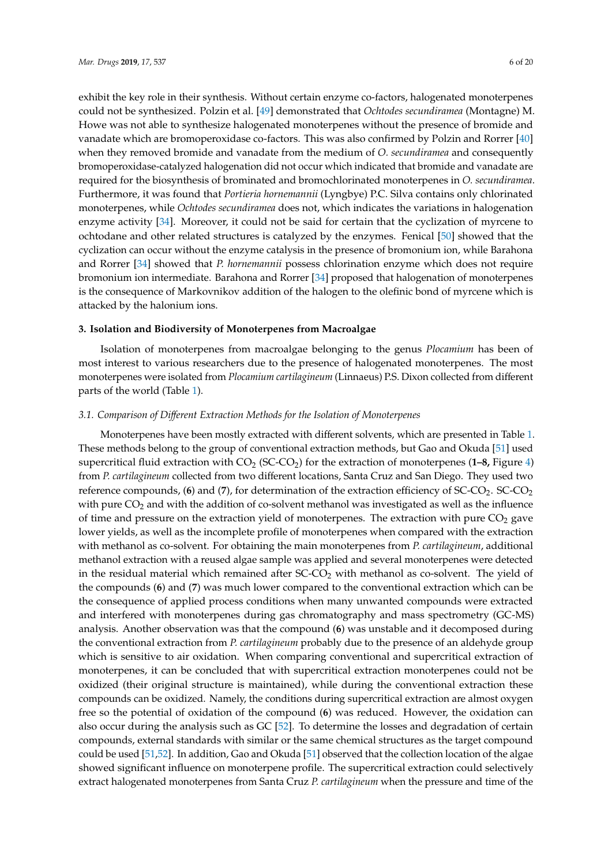exhibit the key role in their synthesis. Without certain enzyme co-factors, halogenated monoterpenes could not be synthesized. Polzin et al. [\[49\]](#page-17-22) demonstrated that *Ochtodes secundiramea* (Montagne) M. Howe was not able to synthesize halogenated monoterpenes without the presence of bromide and vanadate which are bromoperoxidase co-factors. This was also confirmed by Polzin and Rorrer [\[40\]](#page-17-14) when they removed bromide and vanadate from the medium of *O. secundiramea* and consequently bromoperoxidase-catalyzed halogenation did not occur which indicated that bromide and vanadate are required for the biosynthesis of brominated and bromochlorinated monoterpenes in *O. secundiramea*. Furthermore, it was found that *Portieria hornemannii* (Lyngbye) P.C. Silva contains only chlorinated monoterpenes, while *Ochtodes secundiramea* does not, which indicates the variations in halogenation enzyme activity [\[34\]](#page-17-8). Moreover, it could not be said for certain that the cyclization of myrcene to ochtodane and other related structures is catalyzed by the enzymes. Fenical [\[50\]](#page-17-23) showed that the cyclization can occur without the enzyme catalysis in the presence of bromonium ion, while Barahona and Rorrer [\[34\]](#page-17-8) showed that *P. hornemannii* possess chlorination enzyme which does not require bromonium ion intermediate. Barahona and Rorrer [\[34\]](#page-17-8) proposed that halogenation of monoterpenes is the consequence of Markovnikov addition of the halogen to the olefinic bond of myrcene which is attacked by the halonium ions.

## **3. Isolation and Biodiversity of Monoterpenes from Macroalgae**

Isolation of monoterpenes from macroalgae belonging to the genus *Plocamium* has been of most interest to various researchers due to the presence of halogenated monoterpenes. The most monoterpenes were isolated from *Plocamium cartilagineum* (Linnaeus) P.S. Dixon collected from different parts of the world (Table [1\)](#page-11-0).

## *3.1. Comparison of Di*ff*erent Extraction Methods for the Isolation of Monoterpenes*

Monoterpenes have been mostly extracted with different solvents, which are presented in Table [1.](#page-11-0) These methods belong to the group of conventional extraction methods, but Gao and Okuda [\[51\]](#page-18-0) used supercritical fluid extraction with  $CO<sub>2</sub>$  (SC-CO<sub>2</sub>) for the extraction of monoterpenes (1–8, Figure [4\)](#page-6-0) from *P. cartilagineum* collected from two different locations, Santa Cruz and San Diego. They used two reference compounds, (6) and (7), for determination of the extraction efficiency of SC-CO<sub>2</sub>. SC-CO<sub>2</sub> with pure  $CO<sub>2</sub>$  and with the addition of co-solvent methanol was investigated as well as the influence of time and pressure on the extraction yield of monoterpenes. The extraction with pure  $CO<sub>2</sub>$  gave lower yields, as well as the incomplete profile of monoterpenes when compared with the extraction with methanol as co-solvent. For obtaining the main monoterpenes from *P. cartilagineum*, additional methanol extraction with a reused algae sample was applied and several monoterpenes were detected in the residual material which remained after  $SC-CO<sub>2</sub>$  with methanol as co-solvent. The yield of the compounds (**6**) and (**7**) was much lower compared to the conventional extraction which can be the consequence of applied process conditions when many unwanted compounds were extracted and interfered with monoterpenes during gas chromatography and mass spectrometry (GC-MS) analysis. Another observation was that the compound (**6**) was unstable and it decomposed during the conventional extraction from *P. cartilagineum* probably due to the presence of an aldehyde group which is sensitive to air oxidation. When comparing conventional and supercritical extraction of monoterpenes, it can be concluded that with supercritical extraction monoterpenes could not be oxidized (their original structure is maintained), while during the conventional extraction these compounds can be oxidized. Namely, the conditions during supercritical extraction are almost oxygen free so the potential of oxidation of the compound (**6**) was reduced. However, the oxidation can also occur during the analysis such as GC [\[52\]](#page-18-1). To determine the losses and degradation of certain compounds, external standards with similar or the same chemical structures as the target compound could be used [\[51](#page-18-0)[,52\]](#page-18-1). In addition, Gao and Okuda [\[51\]](#page-18-0) observed that the collection location of the algae showed significant influence on monoterpene profile. The supercritical extraction could selectively extract halogenated monoterpenes from Santa Cruz *P. cartilagineum* when the pressure and time of the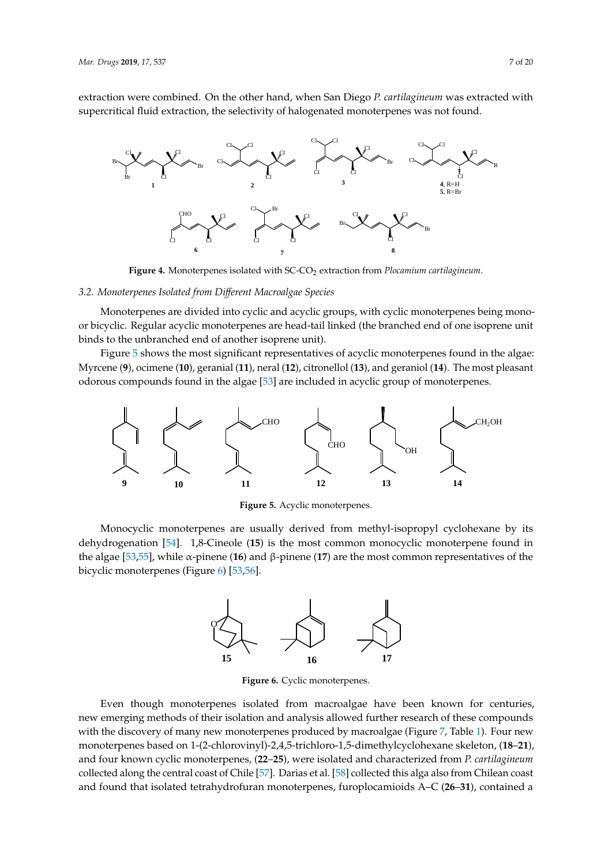extraction were combined. On the other hand, when San Diego *P. cartilagineum* was extracted with supercritical fluid extraction, the selectivity of halogenated monoterpenes was not found. *Mar. Drugs* **2019**, *17*, x 7 of 21

<span id="page-6-0"></span>

Figure 4. Monoterpenes isolated with SC-CO<sub>2</sub> extraction from Plocamium cartilagineum.

# *3.2. Monoterpenes Isolated from Different Macroalgae Species 3.2. Monoterpenes Isolated from Di*ff*erent Macroalgae Species 3.2. Monoterpenes Isolated from Different Macroalgae Species*

<span id="page-6-2"></span>bicyclic monoterpenes (Figure 6) [53,56].

Monoterpenes are divided into cyclic and acyclic groups, with cyclic monoterpenes being monoor bicyclic. Regular acyclic monoterpenes are head-tail linked (the branched end of one isoprene unit binds to the unbranched end of another isoprene unit). or bicyclic. Regular acyclic monoterpenes are head-tail linked (the branched end of one isoprene unit

Figure 5 shows the most significant representatives of acyclic monoterpenes found in the algae: Myrcene (9), ocimene (10), geranial (11), neral (12), citronellol (13), and geraniol (14). The most pleasant odorous compounds found in the algae [\[53\]](#page-18-2) are included in acyclic group of monoterpenes. odorous compounds found in the algae [53] are included in acyclic group of monoterpenes. Figure 5 shows the most significant representative ene  $(9)$ , ocimene  $(10)$ , geranial  $(11)$ , neral  $(12)$ , citronellol  $(13)$ , and geraniol  $(14)$ . The most pleasant

<span id="page-6-1"></span>

**Figure 5.** Acyclic monoterpenes. **Figure 5.** Acyclic monoterpenes. **Figure 5.** Acyclic monoterpenes.  $\mathbf{F}$  **Figure 5.** According to  $\mathbf{F}$ 

Monocyclic monoterpenes are usually derived from methyl-isopropyl cyclohexane by its dehydrogenation [\[54\]](#page-18-3). 1,8-Cineole (15) is the most common monocyclic monoterpene found in the algae [53,55][, w](#page-18-4)hile  $\alpha$ -pinene (16) and  $\beta$ -pinene (17) are the most common representatives of the bicyclic monoterpenes (Figur[e 6](#page-6-2)) [\[53](#page-18-2)[,56](#page-18-5)].



**Figure 6.** Cyclic monoterpenes. **Figure 6.** Cyclic monoterpenes.

Even though monoterpenes isolated from macroalgae have been known for centuries, new emerging methods of their isolation and analysis allowed further research of these compounds with the discovery of many new monoterpenes produced by macroalgae (Figure [7, T](#page-10-0)able [1\)](#page-11-0). Four new monoterpenes based on 1-(2-chlorovinyl)-2,4,5-trichloro-1,5-dimethylcyclohexane skeleton, (18-21), and four known cyclic monoterpenes, (22–25), were isolated and characterized from *P. cartilagineum* collected along the central coast of Chile [\[57\]](#page-18-6). Darias et al. [\[58\]](#page-18-7) collected this alga also from Chilean coast and found that isolated tetrahydrofuran monoterpenes, furoplocamioids A–C (26–31), contained a Even though monoterpenes isolated from macroalgae have been known for centuries, new Even though monoterpenes isolated from macroalgae have been known for centuries,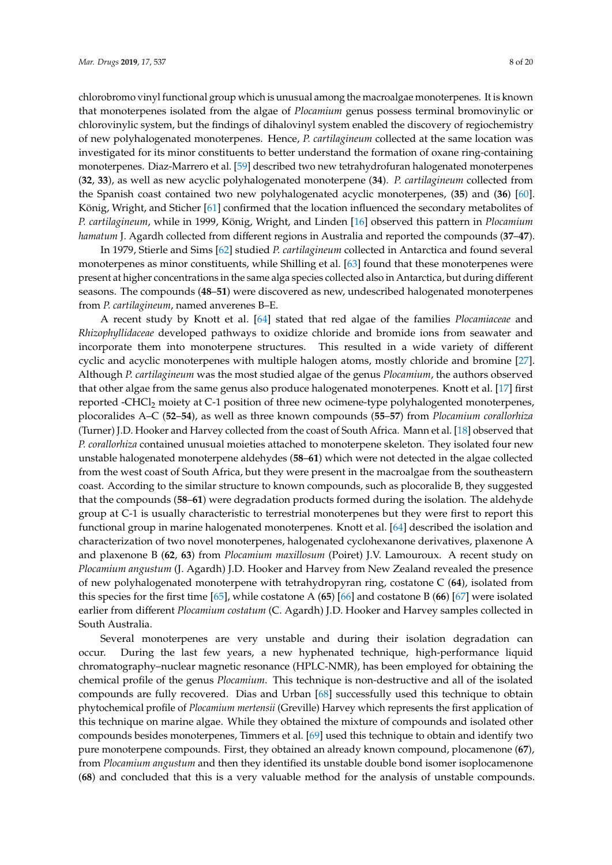chlorobromo vinyl functional group which is unusual among the macroalgae monoterpenes. It is known that monoterpenes isolated from the algae of *Plocamium* genus possess terminal bromovinylic or chlorovinylic system, but the findings of dihalovinyl system enabled the discovery of regiochemistry of new polyhalogenated monoterpenes. Hence, *P. cartilagineum* collected at the same location was investigated for its minor constituents to better understand the formation of oxane ring-containing monoterpenes. Diaz-Marrero et al. [\[59\]](#page-18-8) described two new tetrahydrofuran halogenated monoterpenes (**32**, **33**), as well as new acyclic polyhalogenated monoterpene (**34**). *P. cartilagineum* collected from the Spanish coast contained two new polyhalogenated acyclic monoterpenes, (**35**) and (**36**) [\[60\]](#page-18-9). König, Wright, and Sticher [\[61\]](#page-18-10) confirmed that the location influenced the secondary metabolites of *P. cartilagineum*, while in 1999, König, Wright, and Linden [\[16\]](#page-16-16) observed this pattern in *Plocamium hamatum* J. Agardh collected from different regions in Australia and reported the compounds (**37**–**47**).

In 1979, Stierle and Sims [\[62\]](#page-18-11) studied *P. cartilagineum* collected in Antarctica and found several monoterpenes as minor constituents, while Shilling et al. [\[63\]](#page-18-12) found that these monoterpenes were present at higher concentrations in the same alga species collected also in Antarctica, but during different seasons. The compounds (**48**–**51**) were discovered as new, undescribed halogenated monoterpenes from *P. cartilagineum*, named anverenes B–E.

A recent study by Knott et al. [\[64\]](#page-18-13) stated that red algae of the families *Plocamiaceae* and *Rhizophyllidaceae* developed pathways to oxidize chloride and bromide ions from seawater and incorporate them into monoterpene structures. This resulted in a wide variety of different cyclic and acyclic monoterpenes with multiple halogen atoms, mostly chloride and bromine [\[27\]](#page-17-1). Although *P. cartilagineum* was the most studied algae of the genus *Plocamium*, the authors observed that other algae from the same genus also produce halogenated monoterpenes. Knott et al. [\[17\]](#page-16-17) first reported -CHCl<sub>2</sub> moiety at C-1 position of three new ocimene-type polyhalogented monoterpenes, plocoralides A–C (**52**–**54**), as well as three known compounds (**55**–**57**) from *Plocamium corallorhiza* (Turner) J.D. Hooker and Harvey collected from the coast of South Africa. Mann et al. [\[18\]](#page-16-14) observed that *P. corallorhiza* contained unusual moieties attached to monoterpene skeleton. They isolated four new unstable halogenated monoterpene aldehydes (**58**–**61**) which were not detected in the algae collected from the west coast of South Africa, but they were present in the macroalgae from the southeastern coast. According to the similar structure to known compounds, such as plocoralide B, they suggested that the compounds (**58**–**61**) were degradation products formed during the isolation. The aldehyde group at C-1 is usually characteristic to terrestrial monoterpenes but they were first to report this functional group in marine halogenated monoterpenes. Knott et al. [\[64\]](#page-18-13) described the isolation and characterization of two novel monoterpenes, halogenated cyclohexanone derivatives, plaxenone A and plaxenone B (**62**, **63**) from *Plocamium maxillosum* (Poiret) J.V. Lamouroux. A recent study on *Plocamium angustum* (J. Agardh) J.D. Hooker and Harvey from New Zealand revealed the presence of new polyhalogenated monoterpene with tetrahydropyran ring, costatone C (**64**), isolated from this species for the first time [\[65\]](#page-18-14), while costatone A (**65**) [\[66\]](#page-18-15) and costatone B (**66**) [\[67\]](#page-18-16) were isolated earlier from different *Plocamium costatum* (C. Agardh) J.D. Hooker and Harvey samples collected in South Australia.

Several monoterpenes are very unstable and during their isolation degradation can occur. During the last few years, a new hyphenated technique, high-performance liquid chromatography–nuclear magnetic resonance (HPLC-NMR), has been employed for obtaining the chemical profile of the genus *Plocamium*. This technique is non-destructive and all of the isolated compounds are fully recovered. Dias and Urban [\[68\]](#page-18-17) successfully used this technique to obtain phytochemical profile of *Plocamium mertensii* (Greville) Harvey which represents the first application of this technique on marine algae. While they obtained the mixture of compounds and isolated other compounds besides monoterpenes, Timmers et al. [\[69\]](#page-18-18) used this technique to obtain and identify two pure monoterpene compounds. First, they obtained an already known compound, plocamenone (**67**), from *Plocamium angustum* and then they identified its unstable double bond isomer isoplocamenone (**68**) and concluded that this is a very valuable method for the analysis of unstable compounds.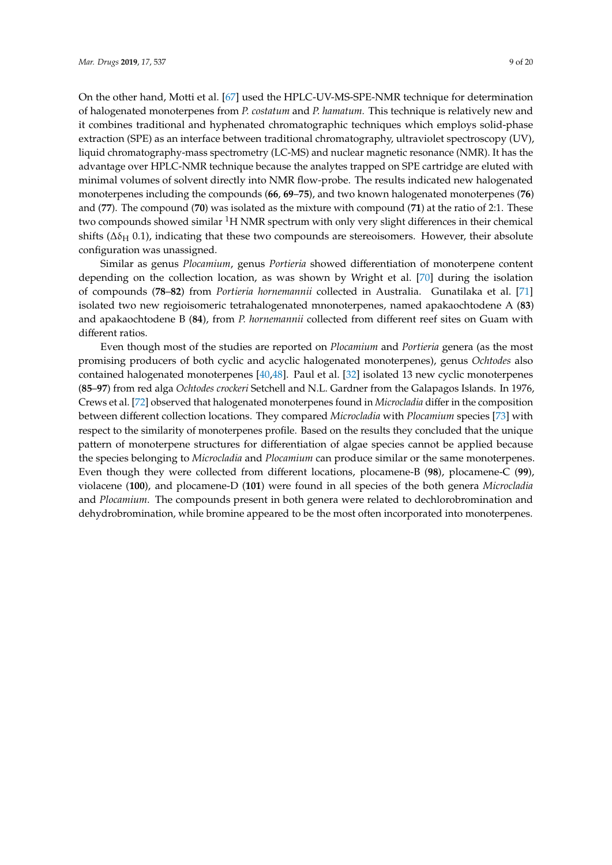On the other hand, Motti et al. [\[67\]](#page-18-16) used the HPLC-UV-MS-SPE-NMR technique for determination of halogenated monoterpenes from *P. costatum* and *P. hamatum.* This technique is relatively new and it combines traditional and hyphenated chromatographic techniques which employs solid-phase extraction (SPE) as an interface between traditional chromatography, ultraviolet spectroscopy (UV), liquid chromatography-mass spectrometry (LC-MS) and nuclear magnetic resonance (NMR). It has the advantage over HPLC-NMR technique because the analytes trapped on SPE cartridge are eluted with minimal volumes of solvent directly into NMR flow-probe. The results indicated new halogenated monoterpenes including the compounds (**66**, **69**–**75**), and two known halogenated monoterpenes (**76**) and (**77**). The compound (**70**) was isolated as the mixture with compound (**71**) at the ratio of 2:1. These two compounds showed similar  ${}^{1}H$  NMR spectrum with only very slight differences in their chemical shifts ( $\Delta\delta_H$  0.1), indicating that these two compounds are stereoisomers. However, their absolute configuration was unassigned.

Similar as genus *Plocamium*, genus *Portieria* showed differentiation of monoterpene content depending on the collection location, as was shown by Wright et al. [\[70\]](#page-18-19) during the isolation of compounds (**78**–**82**) from *Portieria hornemannii* collected in Australia. Gunatilaka et al. [\[71\]](#page-18-20) isolated two new regioisomeric tetrahalogenated mnonoterpenes, named apakaochtodene A (**83**) and apakaochtodene B (**84**), from *P. hornemannii* collected from different reef sites on Guam with different ratios.

Even though most of the studies are reported on *Plocamium* and *Portieria* genera (as the most promising producers of both cyclic and acyclic halogenated monoterpenes), genus *Ochtodes* also contained halogenated monoterpenes [\[40,](#page-17-14)[48\]](#page-17-21). Paul et al. [\[32\]](#page-17-6) isolated 13 new cyclic monoterpenes (**85**–**97**) from red alga *Ochtodes crockeri* Setchell and N.L. Gardner from the Galapagos Islands. In 1976, Crews et al. [\[72\]](#page-18-21) observed that halogenated monoterpenes found in *Microcladia* differ in the composition between different collection locations. They compared *Microcladia* with *Plocamium* species [\[73\]](#page-19-0) with respect to the similarity of monoterpenes profile. Based on the results they concluded that the unique pattern of monoterpene structures for differentiation of algae species cannot be applied because the species belonging to *Microcladia* and *Plocamium* can produce similar or the same monoterpenes. Even though they were collected from different locations, plocamene-B (**98**), plocamene-C (**99**), violacene (**100**), and plocamene-D (**101**) were found in all species of the both genera *Microcladia* and *Plocamium*. The compounds present in both genera were related to dechlorobromination and dehydrobromination, while bromine appeared to be the most often incorporated into monoterpenes.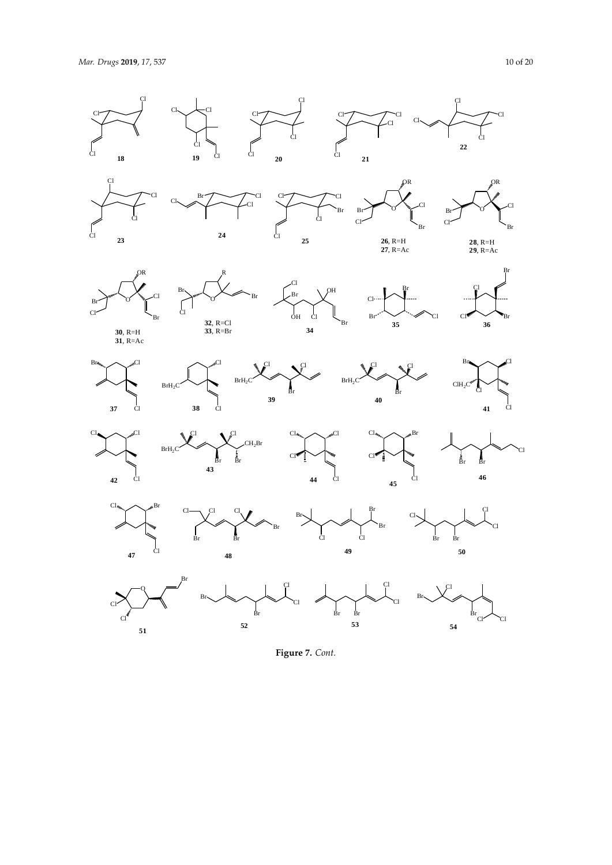

**Figure 7.** *Cont.*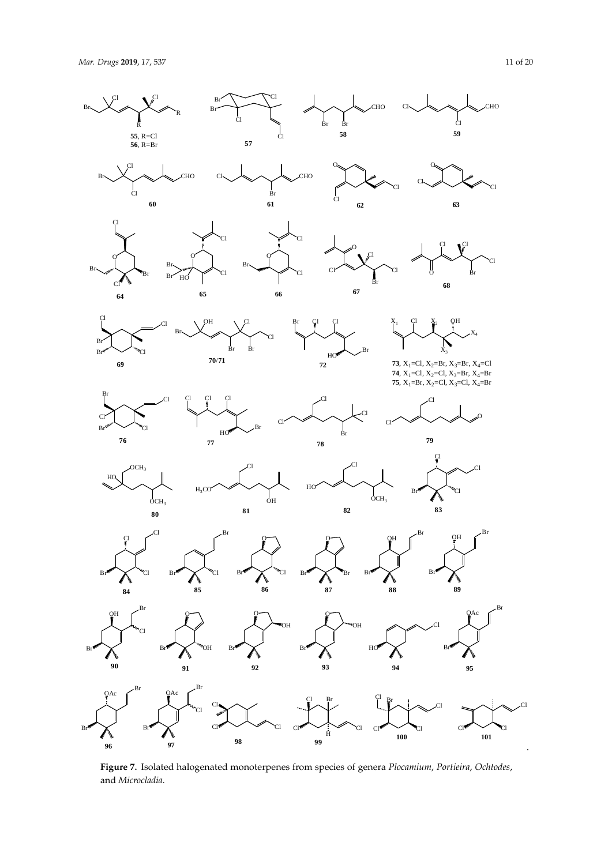Cl

<span id="page-10-0"></span> $\overline{B}$ 

Br

Br

**96**

**97**

R

 $\mathfrak{C}$ 

R

Br

Br

 $\frac{1}{C}$ 

Cl





 $\frac{1}{\text{Br}}$   $\frac{1}{\text{B}}$ 

CHO

Cl





 $\frac{1}{X_3}$  $X_4$ **73**,  $X_1 = C1$ ,  $X_2 = Br$ ,  $X_3 = Br$ ,  $X_4 = C1$ 

OH

O

 $\overline{C}$ 

Br

 $\overline{C}$ 

.

 $X_1$  Cl  $X_2$ 

Cl

 $\rm{d}_{CH_3}$ 

Br

**88**

Cl

**82**

**74**,  $X_1$ =Cl,  $X_2$ =Cl,  $X_3$ =Br,  $X_4$ =Br **75**, X<sub>1</sub>=Br, X<sub>2</sub>=Cl, X<sub>3</sub>=Cl, X<sub>4</sub>=Br

Cl

**79**

Br Cl

Cl

**83**

Br

 $B_1$ 

**89**

**100 101**

OH









Figure 7. Isolated halogenated monoterpenes from species of genera Plocamium, Portieira, Ochtodes, and *Microcladia*. and *Microcladia*.

**98 99**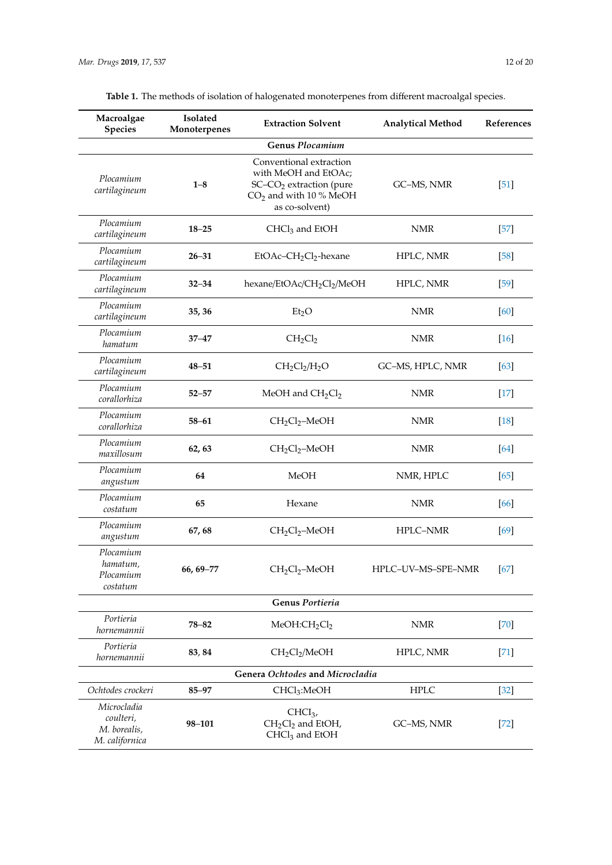| Macroalgae<br><b>Species</b>                               | Isolated<br>Monoterpenes | <b>Extraction Solvent</b>                                                                                                            | <b>Analytical Method</b> | References |
|------------------------------------------------------------|--------------------------|--------------------------------------------------------------------------------------------------------------------------------------|--------------------------|------------|
|                                                            |                          | <b>Genus Plocamium</b>                                                                                                               |                          |            |
| Plocamium<br>cartilagineum                                 | $1 - 8$                  | Conventional extraction<br>with MeOH and EtOAc;<br>SC-CO <sub>2</sub> extraction (pure<br>$CO2$ and with 10 % MeOH<br>as co-solvent) | GC-MS, NMR               | [51]       |
| Plocamium<br>cartilagineum                                 | $18 - 25$                | $CHCl3$ and EtOH                                                                                                                     | <b>NMR</b>               | [57]       |
| Plocamium<br>cartilagineum                                 | $26 - 31$                | EtOAc-CH <sub>2</sub> Cl <sub>2</sub> -hexane                                                                                        | HPLC, NMR                | $[58]$     |
| Plocamium<br>cartilagineum                                 | $32 - 34$                | hexane/EtOAc/CH <sub>2</sub> Cl <sub>2</sub> /MeOH                                                                                   | HPLC, NMR                | $[59]$     |
| Plocamium<br>cartilagineum                                 | 35, 36                   | Et <sub>2</sub> O                                                                                                                    | <b>NMR</b>               | [60]       |
| Plocamium<br>hamatum                                       | $37 - 47$                | $CH_2Cl_2$                                                                                                                           | <b>NMR</b>               | $[16]$     |
| Plocamium<br>cartilagineum                                 | $48 - 51$                | $CH2Cl2/H2O$                                                                                                                         | GC-MS, HPLC, NMR         | $[63]$     |
| Plocamium<br>corallorhiza                                  | $52 - 57$                | MeOH and $CH_2Cl_2$                                                                                                                  | <b>NMR</b>               | $[17]$     |
| Plocamium<br>corallorhiza                                  | $58 - 61$                | $CH2Cl2$ -MeOH                                                                                                                       | <b>NMR</b>               | $[18]$     |
| Plocamium<br>maxillosum                                    | 62, 63                   | $CH2Cl2$ -MeOH                                                                                                                       | <b>NMR</b>               | [64]       |
| Plocamium<br>angustum                                      | 64                       | MeOH                                                                                                                                 | NMR, HPLC                | $[65]$     |
| Plocamium<br>costatum                                      | 65                       | Hexane                                                                                                                               | <b>NMR</b>               | [66]       |
| Plocamium<br>angustum                                      | 67, 68                   | $CH2Cl2$ -MeOH                                                                                                                       | HPLC-NMR                 | $[69]$     |
| Plocamium<br>hamatum,<br>Plocamium<br>costatum             | $66, 69 - 77$            | $CH2Cl2$ -MeOH                                                                                                                       | HPLC-UV-MS-SPE-NMR       | [67]       |
|                                                            |                          | Genus Portieria                                                                                                                      |                          |            |
| Portieria<br>hornemannii                                   | $78 - 82$                | MeOH:CH <sub>2</sub> Cl <sub>2</sub>                                                                                                 | <b>NMR</b>               | $[70]$     |
| Portieria<br>hornemannii                                   | 83, 84                   | CH <sub>2</sub> Cl <sub>2</sub> /MeOH                                                                                                | HPLC, NMR                | $[71]$     |
|                                                            |                          | Genera Ochtodes and Microcladia                                                                                                      |                          |            |
| Ochtodes crockeri                                          | 85-97                    | CHCl <sub>3</sub> :MeOH                                                                                                              | <b>HPLC</b>              | $[32]$     |
| Microcladia<br>coulteri,<br>M. borealis,<br>M. californica | 98-101                   | $CHCI3$ ,<br>$CH2Cl2$ and EtOH,<br>CHCl <sub>3</sub> and EtOH                                                                        | GC-MS, NMR               | $[72]$     |

<span id="page-11-0"></span>

| Table 1. The methods of isolation of halogenated monoterpenes from different macroalgal species. |
|--------------------------------------------------------------------------------------------------|
|                                                                                                  |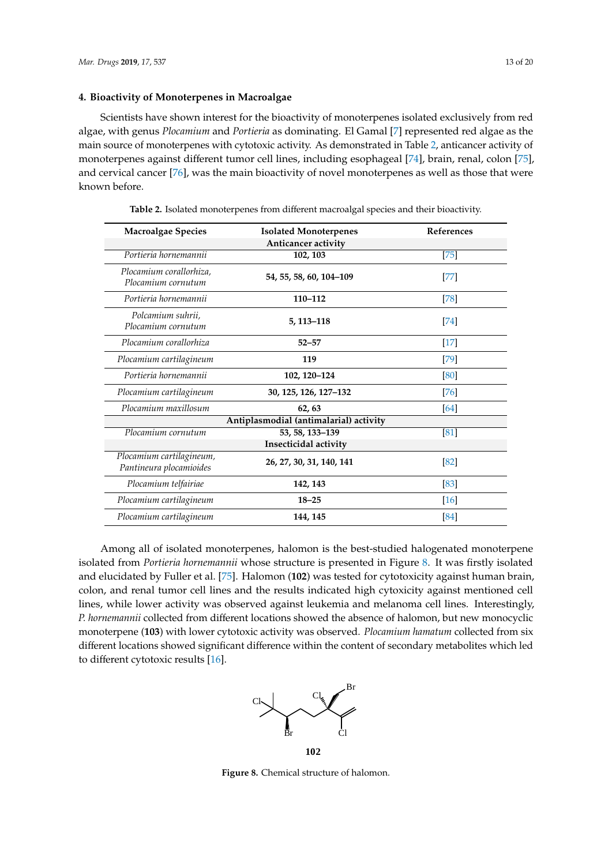# **4. Bioactivity of Monoterpenes in Macroalgae**

Scientists have shown interest for the bioactivity of monoterpenes isolated exclusively from red algae, with genus *Plocamium* and *Portieria* as dominating. El Gamal [\[7\]](#page-16-4) represented red algae as the main source of monoterpenes with cytotoxic activity. As demonstrated in Table [2,](#page-12-0) anticancer activity of monoterpenes against different tumor cell lines, including esophageal [\[74\]](#page-19-1), brain, renal, colon [\[75\]](#page-19-2), and cervical cancer [\[76\]](#page-19-3), was the main bioactivity of novel monoterpenes as well as those that were known before.

<span id="page-12-0"></span>

| <b>Macroalgae Species</b>                           | <b>Isolated Monoterpenes</b>           | References           |
|-----------------------------------------------------|----------------------------------------|----------------------|
|                                                     | Anticancer activity                    |                      |
| Portieria hornemannii                               | 102, 103                               | $[75]$               |
| Plocamium corallorhiza,<br>Plocamium cornutum       | 54, 55, 58, 60, 104-109                | $[77] \label{eq:77}$ |
| Portieria hornemannii                               | 110-112                                | $[78]$               |
| Polcamium suhrii,<br>Plocamium cornutum             | 5, 113-118                             | $[74]$               |
| Plocamium corallorhiza                              | $52 - 57$                              | $[17]$               |
| Plocamium cartilagineum                             | 119                                    | $[79]$               |
| Portieria hornemannii                               | 102, 120-124                           | [80]                 |
| Plocamium cartilagineum                             | 30, 125, 126, 127-132                  | $[76]$               |
| Plocamium maxillosum                                | 62, 63                                 | [64]                 |
|                                                     | Antiplasmodial (antimalarial) activity |                      |
| Plocamium cornutum                                  | 53, 58, 133-139                        | [81]                 |
|                                                     | Insecticidal activity                  |                      |
| Plocamium cartilagineum,<br>Pantineura plocamioides | 26, 27, 30, 31, 140, 141               | [82]                 |
| Plocamium telfairiae                                | 142, 143                               | $[83]$               |
| Plocamium cartilagineum                             | $18 - 25$                              | $[16]$               |
| Plocamium cartilagineum                             | 144, 145                               | [84]                 |

**Table 2.** Isolated monoterpenes from different macroalgal species and their bioactivity.

<span id="page-12-1"></span>Among all of isolated monoterpenes, halomon is the best-studied halogenated monoterpene isolated from *Portieria hornemannii* whose structure is presented in Figure [8.](#page-12-1) It was firstly isolated and and  $\overline{a}$ and elucidated by Fuller et al. [\[75\]](#page-19-2). Halomon (**102**) was tested for cytotoxicity against human brain, colon, colon, colon, colon, colon, colon, colon, colon, colon, colon, colon, colon, colon, colon, colon, colon, colon, colon, and renal tumor cell lines and the results indicated high cytoxicity against mentioned cell lines, while lower activity was observed against leukemia and melanoma cell lines. Interestingly, *P. hornemannii* collected from different locations showed the absence of halomon, but new monocyclic monoterpene (103) with lower cytotoxic activity was observed. *Plocamium hamatum* collected from six different in the collected from six different in the collected from six different in the collected from six different in different locations showed significant difference within the content of secondary metabolites which led to different cytotoxic results [\[16\]](#page-16-16). known before. Among all of isolated monoterpenes, halomon is the best-studied halogenated monoterpene



**Figure 8.** Chemical structure of halomon. **Figure 8.** Chemical structure of halomon.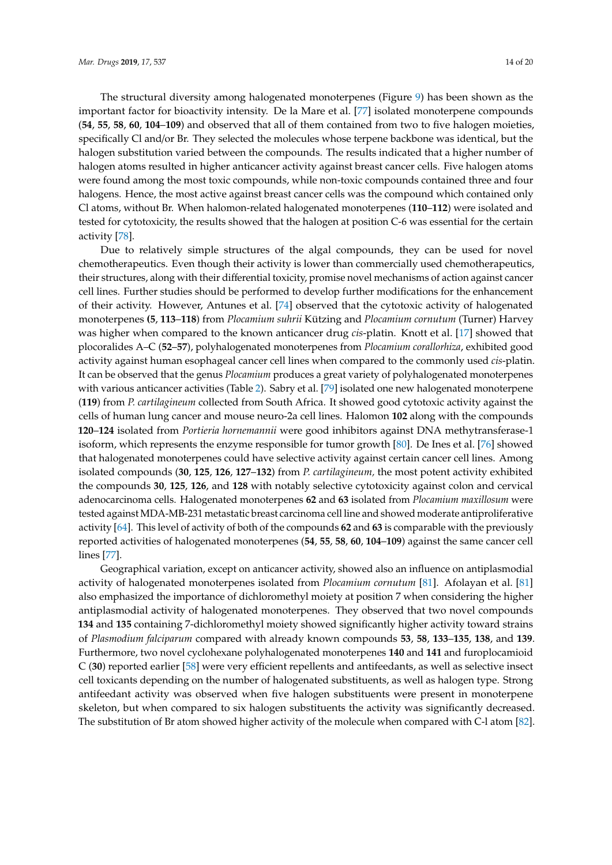The structural diversity among halogenated monoterpenes (Figure [9\)](#page-14-0) has been shown as the important factor for bioactivity intensity. De la Mare et al. [\[77\]](#page-19-4) isolated monoterpene compounds (**54**, **55**, **58**, **60**, **104**–**109**) and observed that all of them contained from two to five halogen moieties, specifically Cl and/or Br. They selected the molecules whose terpene backbone was identical, but the halogen substitution varied between the compounds. The results indicated that a higher number of halogen atoms resulted in higher anticancer activity against breast cancer cells. Five halogen atoms were found among the most toxic compounds, while non-toxic compounds contained three and four halogens. Hence, the most active against breast cancer cells was the compound which contained only Cl atoms, without Br. When halomon-related halogenated monoterpenes (**110**–**112**) were isolated and tested for cytotoxicity, the results showed that the halogen at position C-6 was essential for the certain activity [\[78\]](#page-19-5).

Due to relatively simple structures of the algal compounds, they can be used for novel chemotherapeutics. Even though their activity is lower than commercially used chemotherapeutics, their structures, along with their differential toxicity, promise novel mechanisms of action against cancer cell lines. Further studies should be performed to develop further modifications for the enhancement of their activity. However, Antunes et al. [\[74\]](#page-19-1) observed that the cytotoxic activity of halogenated monoterpenes **(5**, **113**–**118**) from *Plocamium suhrii* Kützing and *Plocamium cornutum* (Turner) Harvey was higher when compared to the known anticancer drug *cis*-platin. Knott et al. [\[17\]](#page-16-17) showed that plocoralides A–C (**52**–**57**), polyhalogenated monoterpenes from *Plocamium corallorhiza*, exhibited good activity against human esophageal cancer cell lines when compared to the commonly used *cis*-platin. It can be observed that the genus *Plocamium* produces a great variety of polyhalogenated monoterpenes with various anticancer activities (Table [2\)](#page-12-0). Sabry et al. [\[79\]](#page-19-6) isolated one new halogenated monoterpene (**119**) from *P. cartilagineum* collected from South Africa. It showed good cytotoxic activity against the cells of human lung cancer and mouse neuro-2a cell lines. Halomon **102** along with the compounds **120**–**124** isolated from *Portieria hornemannii* were good inhibitors against DNA methytransferase-1 isoform, which represents the enzyme responsible for tumor growth [\[80\]](#page-19-7). De Ines et al. [\[76\]](#page-19-3) showed that halogenated monoterpenes could have selective activity against certain cancer cell lines. Among isolated compounds (**30**, **125**, **126**, **127**–**132**) from *P. cartilagineum,* the most potent activity exhibited the compounds **30**, **125**, **126**, and **128** with notably selective cytotoxicity against colon and cervical adenocarcinoma cells. Halogenated monoterpenes **62** and **63** isolated from *Plocamium maxillosum* were tested against MDA-MB-231 metastatic breast carcinoma cell line and showed moderate antiproliferative activity [\[64\]](#page-18-13). This level of activity of both of the compounds **62** and **63** is comparable with the previously reported activities of halogenated monoterpenes (**54**, **55**, **58**, **60**, **104**–**109**) against the same cancer cell lines [\[77\]](#page-19-4).

Geographical variation, except on anticancer activity, showed also an influence on antiplasmodial activity of halogenated monoterpenes isolated from *Plocamium cornutum* [\[81\]](#page-19-8). Afolayan et al. [\[81\]](#page-19-8) also emphasized the importance of dichloromethyl moiety at position 7 when considering the higher antiplasmodial activity of halogenated monoterpenes. They observed that two novel compounds **134** and **135** containing 7-dichloromethyl moiety showed significantly higher activity toward strains of *Plasmodium falciparum* compared with already known compounds **53**, **58**, **133**–**135**, **138**, and **139**. Furthermore, two novel cyclohexane polyhalogenated monoterpenes **140** and **141** and furoplocamioid C (**30**) reported earlier [\[58\]](#page-18-7) were very efficient repellents and antifeedants, as well as selective insect cell toxicants depending on the number of halogenated substituents, as well as halogen type. Strong antifeedant activity was observed when five halogen substituents were present in monoterpene skeleton, but when compared to six halogen substituents the activity was significantly decreased. The substitution of Br atom showed higher activity of the molecule when compared with C-l atom [\[82\]](#page-19-9).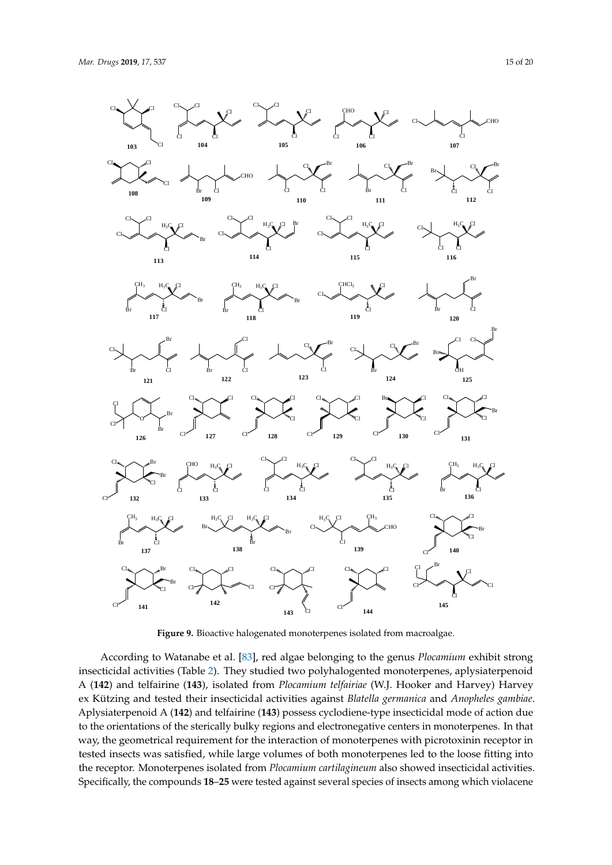<span id="page-14-0"></span>Cl

 $Cl_{\bullet} \nearrow \mathbb{C}^1$ 

**103**

**108**

 $CL \sim C1$ 

CH<sup>3</sup>

Br Cl

**117**

Br Cl **121**

O

Cl

Cl

Cl Cl Cl

Cl

Cl

 $H_3C_2$  Cl

Br

Br

**113**

 $H_3C_2$   $Cl$ 

Cl

Cl





**Figure 9.** Bioactive halogenated monoterpenes isolated from macroalgae. **Figure 9.** Bioactive halogenated monoterpenes isolated from macroalgae.

According to Watanabe et al. [\[83\]](#page-19-10), red algae belonging to the genus *Plocamium* exhibit strong insecticidal activities (Table [2\)](#page-12-0). They studied two polyhalogented monoterpenes, aplysiaterpenoid A (**142**) and telfairine (**143**), isolated from *Plocamium telfairiae* (W.J. Hooker and Harvey) Harvey ex Kützing and tested their insecticidal activities against *Blatella germanica* and *Anopheles gambiae*. Aplysiaterpenoid A (**142**) and telfairine (**143**) possess cyclodiene-type insecticidal mode of action due to the orientations of the sterically bulky regions and electronegative centers in monoterpenes. In that way, the geometrical requirement for the interaction of monoterpenes with picrotoxinin receptor in tested insects was satisfied, while large volumes of both monoterpenes led to the loose fitting into the receptor. Monoterpenes isolated from *Plocamium cartilagineum* also showed insecticidal activities. Specifically, the compounds **18**–**25** were tested against several species of insects among which violacene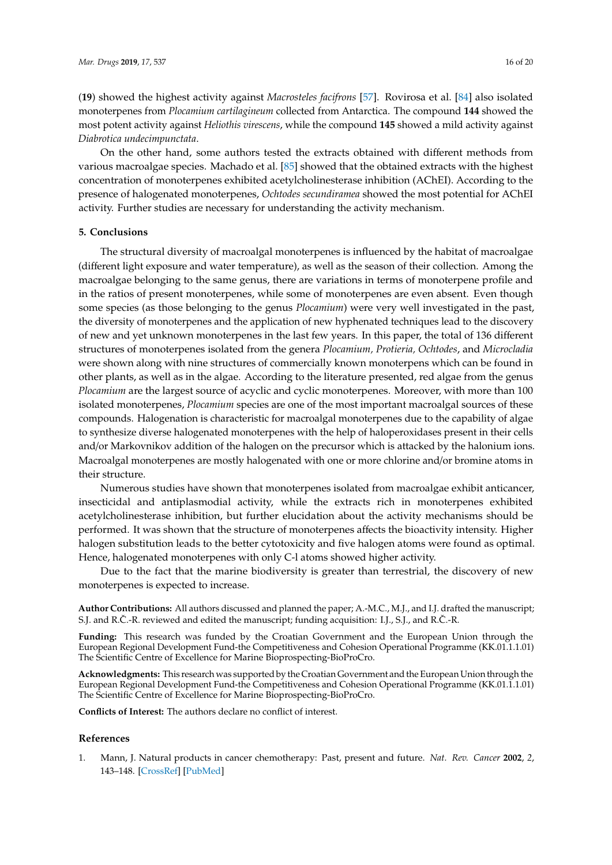(**19**) showed the highest activity against *Macrosteles facifrons* [\[57\]](#page-18-6). Rovirosa et al. [\[84\]](#page-19-11) also isolated monoterpenes from *Plocamium cartilagineum* collected from Antarctica. The compound **144** showed the most potent activity against *Heliothis virescens*, while the compound **145** showed a mild activity against *Diabrotica undecimpunctata*.

On the other hand, some authors tested the extracts obtained with different methods from various macroalgae species. Machado et al. [\[85\]](#page-19-12) showed that the obtained extracts with the highest concentration of monoterpenes exhibited acetylcholinesterase inhibition (AChEI). According to the presence of halogenated monoterpenes, *Ochtodes secundiramea* showed the most potential for AChEI activity. Further studies are necessary for understanding the activity mechanism.

#### **5. Conclusions**

The structural diversity of macroalgal monoterpenes is influenced by the habitat of macroalgae (different light exposure and water temperature), as well as the season of their collection. Among the macroalgae belonging to the same genus, there are variations in terms of monoterpene profile and in the ratios of present monoterpenes, while some of monoterpenes are even absent. Even though some species (as those belonging to the genus *Plocamium*) were very well investigated in the past, the diversity of monoterpenes and the application of new hyphenated techniques lead to the discovery of new and yet unknown monoterpenes in the last few years. In this paper, the total of 136 different structures of monoterpenes isolated from the genera *Plocamium, Protieria, Ochtodes*, and *Microcladia* were shown along with nine structures of commercially known monoterpens which can be found in other plants, as well as in the algae. According to the literature presented, red algae from the genus *Plocamium* are the largest source of acyclic and cyclic monoterpenes. Moreover, with more than 100 isolated monoterpenes, *Plocamium* species are one of the most important macroalgal sources of these compounds. Halogenation is characteristic for macroalgal monoterpenes due to the capability of algae to synthesize diverse halogenated monoterpenes with the help of haloperoxidases present in their cells and/or Markovnikov addition of the halogen on the precursor which is attacked by the halonium ions. Macroalgal monoterpenes are mostly halogenated with one or more chlorine and/or bromine atoms in their structure.

Numerous studies have shown that monoterpenes isolated from macroalgae exhibit anticancer, insecticidal and antiplasmodial activity, while the extracts rich in monoterpenes exhibited acetylcholinesterase inhibition, but further elucidation about the activity mechanisms should be performed. It was shown that the structure of monoterpenes affects the bioactivity intensity. Higher halogen substitution leads to the better cytotoxicity and five halogen atoms were found as optimal. Hence, halogenated monoterpenes with only C-l atoms showed higher activity.

Due to the fact that the marine biodiversity is greater than terrestrial, the discovery of new monoterpenes is expected to increase.

**Author Contributions:** All authors discussed and planned the paper; A.-M.C., M.J., and I.J. drafted the manuscript; S.J. and R.Č.-R. reviewed and edited the manuscript; funding acquisition: I.J., S.J., and R.Č.-R.

**Funding:** This research was funded by the Croatian Government and the European Union through the European Regional Development Fund-the Competitiveness and Cohesion Operational Programme (KK.01.1.1.01) The Scientific Centre of Excellence for Marine Bioprospecting-BioProCro.

**Acknowledgments:** This research was supported by the Croatian Government and the European Union through the European Regional Development Fund-the Competitiveness and Cohesion Operational Programme (KK.01.1.1.01) The Scientific Centre of Excellence for Marine Bioprospecting-BioProCro.

**Conflicts of Interest:** The authors declare no conflict of interest.

#### **References**

<span id="page-15-0"></span>1. Mann, J. Natural products in cancer chemotherapy: Past, present and future. *Nat. Rev. Cancer* **2002**, *2*, 143–148. [\[CrossRef\]](http://dx.doi.org/10.1038/nrc723) [\[PubMed\]](http://www.ncbi.nlm.nih.gov/pubmed/12635177)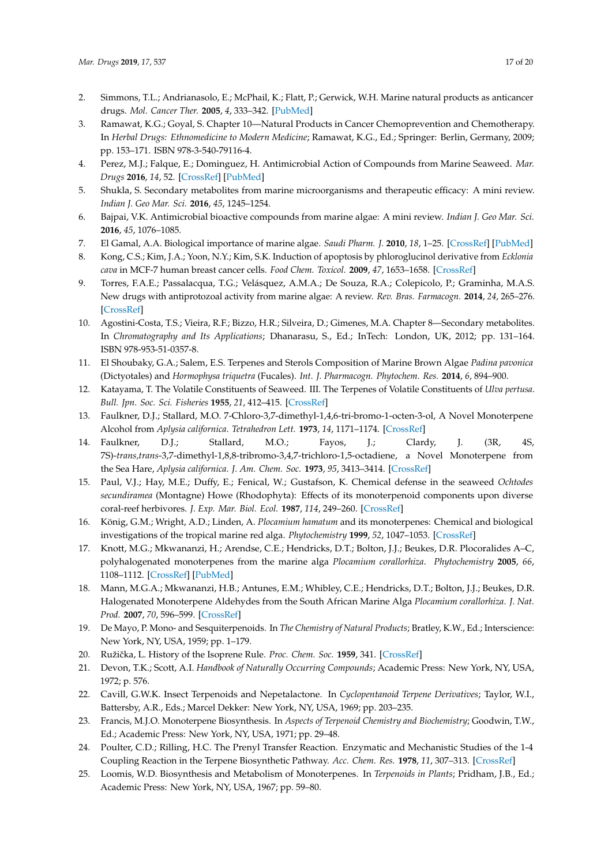- <span id="page-16-0"></span>2. Simmons, T.L.; Andrianasolo, E.; McPhail, K.; Flatt, P.; Gerwick, W.H. Marine natural products as anticancer drugs. *Mol. Cancer Ther.* **2005**, *4*, 333–342. [\[PubMed\]](http://www.ncbi.nlm.nih.gov/pubmed/15713904)
- <span id="page-16-1"></span>3. Ramawat, K.G.; Goyal, S. Chapter 10—Natural Products in Cancer Chemoprevention and Chemotherapy. In *Herbal Drugs: Ethnomedicine to Modern Medicine*; Ramawat, K.G., Ed.; Springer: Berlin, Germany, 2009; pp. 153–171. ISBN 978-3-540-79116-4.
- <span id="page-16-2"></span>4. Perez, M.J.; Falque, E.; Dominguez, H. Antimicrobial Action of Compounds from Marine Seaweed. *Mar. Drugs* **2016**, *14*, 52. [\[CrossRef\]](http://dx.doi.org/10.3390/md14030052) [\[PubMed\]](http://www.ncbi.nlm.nih.gov/pubmed/27005637)
- <span id="page-16-5"></span>5. Shukla, S. Secondary metabolites from marine microorganisms and therapeutic efficacy: A mini review. *Indian J. Geo Mar. Sci.* **2016**, *45*, 1245–1254.
- <span id="page-16-3"></span>6. Bajpai, V.K. Antimicrobial bioactive compounds from marine algae: A mini review. *Indian J. Geo Mar. Sci.* **2016**, *45*, 1076–1085.
- <span id="page-16-4"></span>7. El Gamal, A.A. Biological importance of marine algae. *Saudi Pharm. J.* **2010**, *18*, 1–25. [\[CrossRef\]](http://dx.doi.org/10.1016/j.jsps.2009.12.001) [\[PubMed\]](http://www.ncbi.nlm.nih.gov/pubmed/23960716)
- <span id="page-16-6"></span>8. Kong, C.S.; Kim, J.A.; Yoon, N.Y.; Kim, S.K. Induction of apoptosis by phloroglucinol derivative from *Ecklonia cava* in MCF-7 human breast cancer cells. *Food Chem. Toxicol.* **2009**, *47*, 1653–1658. [\[CrossRef\]](http://dx.doi.org/10.1016/j.fct.2009.04.013)
- <span id="page-16-7"></span>9. Torres, F.A.E.; Passalacqua, T.G.; Velásquez, A.M.A.; De Souza, R.A.; Colepicolo, P.; Graminha, M.A.S. New drugs with antiprotozoal activity from marine algae: A review. *Rev. Bras. Farmacogn.* **2014**, *24*, 265–276. [\[CrossRef\]](http://dx.doi.org/10.1016/j.bjp.2014.07.001)
- <span id="page-16-8"></span>10. Agostini-Costa, T.S.; Vieira, R.F.; Bizzo, H.R.; Silveira, D.; Gimenes, M.A. Chapter 8—Secondary metabolites. In *Chromatography and Its Applications*; Dhanarasu, S., Ed.; InTech: London, UK, 2012; pp. 131–164. ISBN 978-953-51-0357-8.
- <span id="page-16-9"></span>11. El Shoubaky, G.A.; Salem, E.S. Terpenes and Sterols Composition of Marine Brown Algae *Padina pavonica* (Dictyotales) and *Hormophysa triquetra* (Fucales). *Int. J. Pharmacogn. Phytochem. Res.* **2014**, *6*, 894–900.
- <span id="page-16-10"></span>12. Katayama, T. The Volatile Constituents of Seaweed. III. The Terpenes of Volatile Constituents of *Ulva pertusa*. *Bull. Jpn. Soc. Sci. Fisheries* **1955**, *21*, 412–415. [\[CrossRef\]](http://dx.doi.org/10.2331/suisan.21.412)
- <span id="page-16-11"></span>13. Faulkner, D.J.; Stallard, M.O. 7-Chloro-3,7-dimethyl-1,4,6-tri-bromo-1-octen-3-ol, A Novel Monoterpene Alcohol from *Aplysia californica*. *Tetrahedron Lett.* **1973**, *14*, 1171–1174. [\[CrossRef\]](http://dx.doi.org/10.1016/S0040-4039(01)95787-9)
- <span id="page-16-12"></span>14. Faulkner, D.J.; Stallard, M.O.; Fayos, J.; Clardy, J. (3R, 4S, 7S)-*trans,trans*-3,7-dimethyl-1,8,8-tribromo-3,4,7-trichloro-1,5-octadiene, a Novel Monoterpene from the Sea Hare, *Aplysia californica*. *J. Am. Chem. Soc.* **1973**, *95*, 3413–3414. [\[CrossRef\]](http://dx.doi.org/10.1021/ja00791a073)
- <span id="page-16-13"></span>15. Paul, V.J.; Hay, M.E.; Duffy, E.; Fenical, W.; Gustafson, K. Chemical defense in the seaweed *Ochtodes secundiramea* (Montagne) Howe (Rhodophyta): Effects of its monoterpenoid components upon diverse coral-reef herbivores. *J. Exp. Mar. Biol. Ecol.* **1987**, *114*, 249–260. [\[CrossRef\]](http://dx.doi.org/10.1016/0022-0981(88)90141-4)
- <span id="page-16-16"></span>16. König, G.M.; Wright, A.D.; Linden, A. *Plocamium hamatum* and its monoterpenes: Chemical and biological investigations of the tropical marine red alga. *Phytochemistry* **1999**, *52*, 1047–1053. [\[CrossRef\]](http://dx.doi.org/10.1016/S0031-9422(99)00284-8)
- <span id="page-16-17"></span>17. Knott, M.G.; Mkwananzi, H.; Arendse, C.E.; Hendricks, D.T.; Bolton, J.J.; Beukes, D.R. Plocoralides A–C, polyhalogenated monoterpenes from the marine alga *Plocamium corallorhiza*. *Phytochemistry* **2005**, *66*, 1108–1112. [\[CrossRef\]](http://dx.doi.org/10.1016/j.phytochem.2005.03.029) [\[PubMed\]](http://www.ncbi.nlm.nih.gov/pubmed/15924916)
- <span id="page-16-14"></span>18. Mann, M.G.A.; Mkwananzi, H.B.; Antunes, E.M.; Whibley, C.E.; Hendricks, D.T.; Bolton, J.J.; Beukes, D.R. Halogenated Monoterpene Aldehydes from the South African Marine Alga *Plocamium corallorhiza*. *J. Nat. Prod.* **2007**, *70*, 596–599. [\[CrossRef\]](http://dx.doi.org/10.1021/np060547c)
- <span id="page-16-15"></span>19. De Mayo, P. Mono- and Sesquiterpenoids. In *The Chemistry of Natural Products*; Bratley, K.W., Ed.; Interscience: New York, NY, USA, 1959; pp. 1–179.
- 20. Ružička, L. History of the Isoprene Rule. *Proc. Chem. Soc.* **1959**, 341. [\[CrossRef\]](http://dx.doi.org/10.1039/PS9590000341)
- 21. Devon, T.K.; Scott, A.I. *Handbook of Naturally Occurring Compounds*; Academic Press: New York, NY, USA, 1972; p. 576.
- 22. Cavill, G.W.K. Insect Terpenoids and Nepetalactone. In *Cyclopentanoid Terpene Derivatives*; Taylor, W.I., Battersby, A.R., Eds.; Marcel Dekker: New York, NY, USA, 1969; pp. 203–235.
- 23. Francis, M.J.O. Monoterpene Biosynthesis. In *Aspects of Terpenoid Chemistry and Biochemistry*; Goodwin, T.W., Ed.; Academic Press: New York, NY, USA, 1971; pp. 29–48.
- 24. Poulter, C.D.; Rilling, H.C. The Prenyl Transfer Reaction. Enzymatic and Mechanistic Studies of the 1-4 Coupling Reaction in the Terpene Biosynthetic Pathway. *Acc. Chem. Res.* **1978**, *11*, 307–313. [\[CrossRef\]](http://dx.doi.org/10.1021/ar50128a004)
- 25. Loomis, W.D. Biosynthesis and Metabolism of Monoterpenes. In *Terpenoids in Plants*; Pridham, J.B., Ed.; Academic Press: New York, NY, USA, 1967; pp. 59–80.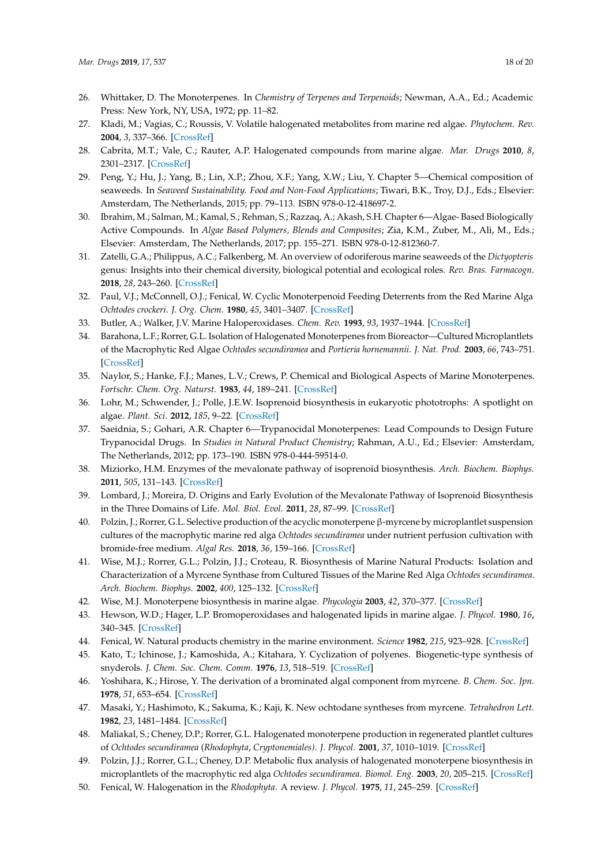- <span id="page-17-0"></span>26. Whittaker, D. The Monoterpenes. In *Chemistry of Terpenes and Terpenoids*; Newman, A.A., Ed.; Academic Press: New York, NY, USA, 1972; pp. 11–82.
- <span id="page-17-1"></span>27. Kladi, M.; Vagias, C.; Roussis, V. Volatile halogenated metabolites from marine red algae. *Phytochem. Rev.* **2004**, *3*, 337–366. [\[CrossRef\]](http://dx.doi.org/10.1007/s11101-004-4155-9)
- <span id="page-17-3"></span>28. Cabrita, M.T.; Vale, C.; Rauter, A.P. Halogenated compounds from marine algae. *Mar. Drugs* **2010**, *8*, 2301–2317. [\[CrossRef\]](http://dx.doi.org/10.3390/md8082301)
- <span id="page-17-5"></span>29. Peng, Y.; Hu, J.; Yang, B.; Lin, X.P.; Zhou, X.F.; Yang, X.W.; Liu, Y. Chapter 5—Chemical composition of seaweeds. In *Seaweed Sustainability. Food and Non-Food Applications*; Tiwari, B.K., Troy, D.J., Eds.; Elsevier: Amsterdam, The Netherlands, 2015; pp. 79–113. ISBN 978-0-12-418697-2.
- <span id="page-17-4"></span>30. Ibrahim, M.; Salman, M.; Kamal, S.; Rehman, S.; Razzaq, A.; Akash, S.H. Chapter 6—Algae- Based Biologically Active Compounds. In *Algae Based Polymers, Blends and Composites*; Zia, K.M., Zuber, M., Ali, M., Eds.; Elsevier: Amsterdam, The Netherlands, 2017; pp. 155–271. ISBN 978-0-12-812360-7.
- <span id="page-17-2"></span>31. Zatelli, G.A.; Philippus, A.C.; Falkenberg, M. An overview of odoriferous marine seaweeds of the *Dictyopteris* genus: Insights into their chemical diversity, biological potential and ecological roles. *Rev. Bras. Farmacogn.* **2018**, *28*, 243–260. [\[CrossRef\]](http://dx.doi.org/10.1016/j.bjp.2018.01.005)
- <span id="page-17-6"></span>32. Paul, V.J.; McConnell, O.J.; Fenical, W. Cyclic Monoterpenoid Feeding Deterrents from the Red Marine Alga *Ochtodes crockeri*. *J. Org. Chem.* **1980**, *45*, 3401–3407. [\[CrossRef\]](http://dx.doi.org/10.1021/jo01305a006)
- <span id="page-17-7"></span>33. Butler, A.; Walker, J.V. Marine Haloperoxidases. *Chem. Rev.* **1993**, *93*, 1937–1944. [\[CrossRef\]](http://dx.doi.org/10.1021/cr00021a014)
- <span id="page-17-8"></span>34. Barahona, L.F.; Rorrer, G.L. Isolation of Halogenated Monoterpenes from Bioreactor—Cultured Microplantlets of the Macrophytic Red Algae *Ochtodes secundiramea* and *Portieria hornemannii*. *J. Nat. Prod.* **2003**, *66*, 743–751. [\[CrossRef\]](http://dx.doi.org/10.1021/np0206007)
- <span id="page-17-9"></span>35. Naylor, S.; Hanke, F.J.; Manes, L.V.; Crews, P. Chemical and Biological Aspects of Marine Monoterpenes. *Fortschr. Chem. Org. Naturst.* **1983**, *44*, 189–241. [\[CrossRef\]](http://dx.doi.org/10.1007/978-3-7091-8714-2_3)
- <span id="page-17-10"></span>36. Lohr, M.; Schwender, J.; Polle, J.E.W. Isoprenoid biosynthesis in eukaryotic phototrophs: A spotlight on algae. *Plant. Sci.* **2012**, *185*, 9–22. [\[CrossRef\]](http://dx.doi.org/10.1016/j.plantsci.2011.07.018)
- <span id="page-17-11"></span>37. Saeidnia, S.; Gohari, A.R. Chapter 6—Trypanocidal Monoterpenes: Lead Compounds to Design Future Trypanocidal Drugs. In *Studies in Natural Product Chemistry*; Rahman, A.U., Ed.; Elsevier: Amsterdam, The Netherlands, 2012; pp. 173–190. ISBN 978-0-444-59514-0.
- <span id="page-17-12"></span>38. Miziorko, H.M. Enzymes of the mevalonate pathway of isoprenoid biosynthesis. *Arch. Biochem. Biophys.* **2011**, *505*, 131–143. [\[CrossRef\]](http://dx.doi.org/10.1016/j.abb.2010.09.028)
- <span id="page-17-13"></span>39. Lombard, J.; Moreira, D. Origins and Early Evolution of the Mevalonate Pathway of Isoprenoid Biosynthesis in the Three Domains of Life. *Mol. Biol. Evol.* **2011**, *28*, 87–99. [\[CrossRef\]](http://dx.doi.org/10.1093/molbev/msq177)
- <span id="page-17-14"></span>40. Polzin, J.; Rorrer, G.L. Selective production of the acyclic monoterpene β-myrcene by microplantlet suspension cultures of the macrophytic marine red alga *Ochtodes secundiramea* under nutrient perfusion cultivation with bromide-free medium. *Algal Res.* **2018**, *36*, 159–166. [\[CrossRef\]](http://dx.doi.org/10.1016/j.algal.2018.10.022)
- <span id="page-17-15"></span>41. Wise, M.J.; Rorrer, G.L.; Polzin, J.J.; Croteau, R. Biosynthesis of Marine Natural Products: Isolation and Characterization of a Myrcene Synthase from Cultured Tissues of the Marine Red Alga *Ochtodes secundiramea*. *Arch. Biochem. Biophys.* **2002**, *400*, 125–132. [\[CrossRef\]](http://dx.doi.org/10.1006/abbi.2002.2780)
- <span id="page-17-16"></span>42. Wise, M.J. Monoterpene biosynthesis in marine algae. *Phycologia* **2003**, *42*, 370–377. [\[CrossRef\]](http://dx.doi.org/10.2216/i0031-8884-42-4-370.1)
- <span id="page-17-17"></span>43. Hewson, W.D.; Hager, L.P. Bromoperoxidases and halogenated lipids in marine algae. *J. Phycol.* **1980**, *16*, 340–345. [\[CrossRef\]](http://dx.doi.org/10.1111/j.1529-8817.1980.tb03043.x)
- <span id="page-17-19"></span><span id="page-17-18"></span>44. Fenical, W. Natural products chemistry in the marine environment. *Science* **1982**, *215*, 923–928. [\[CrossRef\]](http://dx.doi.org/10.1126/science.215.4535.923)
- 45. Kato, T.; Ichinose, J.; Kamoshida, A.; Kitahara, Y. Cyclization of polyenes. Biogenetic-type synthesis of snyderols. *J. Chem. Soc. Chem. Comm.* **1976**, *13*, 518–519. [\[CrossRef\]](http://dx.doi.org/10.1039/c39760000518)
- 46. Yoshihara, K.; Hirose, Y. The derivation of a brominated algal component from myrcene. *B. Chem. Soc. Jpn.* **1978**, *51*, 653–654. [\[CrossRef\]](http://dx.doi.org/10.1246/bcsj.51.653)
- <span id="page-17-20"></span>47. Masaki, Y.; Hashimoto, K.; Sakuma, K.; Kaji, K. New ochtodane syntheses from myrcene. *Tetrahedron Lett.* **1982**, *23*, 1481–1484. [\[CrossRef\]](http://dx.doi.org/10.1016/S0040-4039(00)87138-5)
- <span id="page-17-21"></span>48. Maliakal, S.; Cheney, D.P.; Rorrer, G.L. Halogenated monoterpene production in regenerated plantlet cultures of *Ochtodes secundiramea* (*Rhodophyta*, *Cryptonemiales)*. *J. Phycol.* **2001**, *37*, 1010–1019. [\[CrossRef\]](http://dx.doi.org/10.1046/j.1529-8817.2001.00120.x)
- <span id="page-17-22"></span>49. Polzin, J.J.; Rorrer, G.L.; Cheney, D.P. Metabolic flux analysis of halogenated monoterpene biosynthesis in microplantlets of the macrophytic red alga *Ochtodes secundiramea*. *Biomol. Eng.* **2003**, *20*, 205–215. [\[CrossRef\]](http://dx.doi.org/10.1016/S1389-0344(03)00054-6)
- <span id="page-17-23"></span>50. Fenical, W. Halogenation in the *Rhodophyta*. A review. *J. Phycol.* **1975**, *11*, 245–259. [\[CrossRef\]](http://dx.doi.org/10.1111/j.1529-8817.1975.tb02775.x)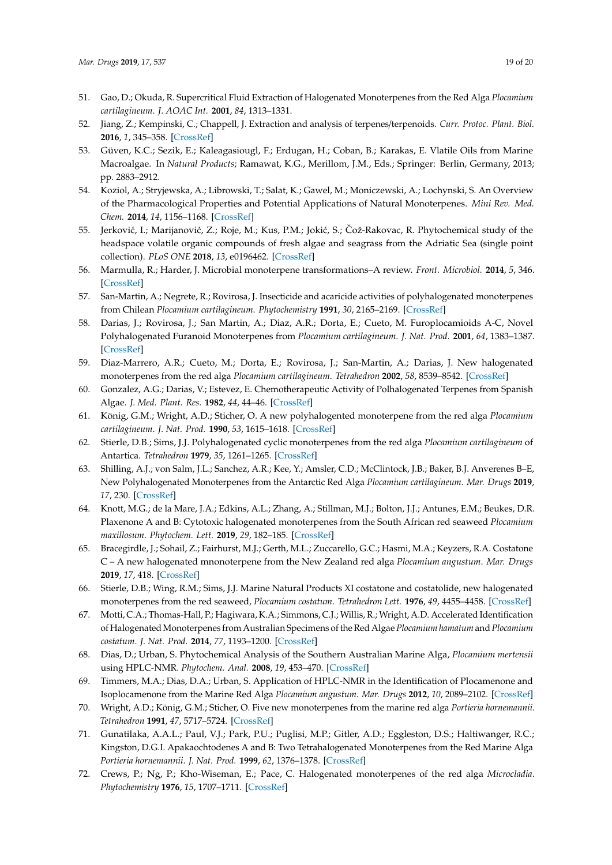- <span id="page-18-0"></span>51. Gao, D.; Okuda, R. Supercritical Fluid Extraction of Halogenated Monoterpenes from the Red Alga *Plocamium cartilagineum*. *J. AOAC Int.* **2001**, *84*, 1313–1331.
- <span id="page-18-1"></span>52. Jiang, Z.; Kempinski, C.; Chappell, J. Extraction and analysis of terpenes/terpenoids. *Curr. Protoc. Plant. Biol.* **2016**, *1*, 345–358. [\[CrossRef\]](http://dx.doi.org/10.1002/cppb.20024)
- <span id="page-18-2"></span>53. Güven, K.C.; Sezik, E.; Kaleagasiougl, F.; Erdugan, H.; Coban, B.; Karakas, E. Vlatile Oils from Marine Macroalgae. In *Natural Products*; Ramawat, K.G., Merillom, J.M., Eds.; Springer: Berlin, Germany, 2013; pp. 2883–2912.
- <span id="page-18-3"></span>54. Koziol, A.; Stryjewska, A.; Librowski, T.; Salat, K.; Gawel, M.; Moniczewski, A.; Lochynski, S. An Overview of the Pharmacological Properties and Potential Applications of Natural Monoterpenes. *Mini Rev. Med. Chem.* **2014**, *14*, 1156–1168. [\[CrossRef\]](http://dx.doi.org/10.2174/1389557514666141127145820)
- <span id="page-18-4"></span>55. Jerković, I.; Marijanović, Z.; Roje, M.; Kus, P.M.; Jokić, S.; Čož-Rakovac, R. Phytochemical study of the headspace volatile organic compounds of fresh algae and seagrass from the Adriatic Sea (single point collection). *PLoS ONE* **2018**, *13*, e0196462. [\[CrossRef\]](http://dx.doi.org/10.1371/journal.pone.0196462)
- <span id="page-18-5"></span>56. Marmulla, R.; Harder, J. Microbial monoterpene transformations–A review. *Front. Microbiol.* **2014**, *5*, 346. [\[CrossRef\]](http://dx.doi.org/10.3389/fmicb.2014.00346)
- <span id="page-18-6"></span>57. San-Martin, A.; Negrete, R.; Rovirosa, J. Insecticide and acaricide activities of polyhalogenated monoterpenes from Chilean *Plocamium cartilagineum*. *Phytochemistry* **1991**, *30*, 2165–2169. [\[CrossRef\]](http://dx.doi.org/10.1016/0031-9422(91)83607-M)
- <span id="page-18-7"></span>58. Darias, J.; Rovirosa, J.; San Martin, A.; Diaz, A.R.; Dorta, E.; Cueto, M. Furoplocamioids A-C, Novel Polyhalogenated Furanoid Monoterpenes from *Plocamium cartilagineum*. *J. Nat. Prod.* **2001**, *64*, 1383–1387. [\[CrossRef\]](http://dx.doi.org/10.1021/np010297u)
- <span id="page-18-8"></span>59. Diaz-Marrero, A.R.; Cueto, M.; Dorta, E.; Rovirosa, J.; San-Martin, A.; Darias, J. New halogenated monoterpenes from the red alga *Plocamium cartilagineum*. *Tetrahedron* **2002**, *58*, 8539–8542. [\[CrossRef\]](http://dx.doi.org/10.1016/S0040-4020(02)01019-0)
- <span id="page-18-9"></span>60. Gonzalez, A.G.; Darias, V.; Estevez, E. Chemotherapeutic Activity of Polhalogenated Terpenes from Spanish Algae. *J. Med. Plant. Res.* **1982**, *44*, 44–46. [\[CrossRef\]](http://dx.doi.org/10.1055/s-2007-971399)
- <span id="page-18-10"></span>61. König, G.M.; Wright, A.D.; Sticher, O. A new polyhalogented monoterpene from the red alga *Plocamium cartilagineum*. *J. Nat. Prod.* **1990**, *53*, 1615–1618. [\[CrossRef\]](http://dx.doi.org/10.1021/np50072a041)
- <span id="page-18-11"></span>62. Stierle, D.B.; Sims, J.J. Polyhalogenated cyclic monoterpenes from the red alga *Plocamium cartilagineum* of Antartica. *Tetrahedron* **1979**, *35*, 1261–1265. [\[CrossRef\]](http://dx.doi.org/10.1016/0040-4020(79)80051-4)
- <span id="page-18-12"></span>63. Shilling, A.J.; von Salm, J.L.; Sanchez, A.R.; Kee, Y.; Amsler, C.D.; McClintock, J.B.; Baker, B.J. Anverenes B–E, New Polyhalogenated Monoterpenes from the Antarctic Red Alga *Plocamium cartilagineum*. *Mar. Drugs* **2019**, *17*, 230. [\[CrossRef\]](http://dx.doi.org/10.3390/md17040230)
- <span id="page-18-13"></span>64. Knott, M.G.; de la Mare, J.A.; Edkins, A.L.; Zhang, A.; Stillman, M.J.; Bolton, J.J.; Antunes, E.M.; Beukes, D.R. Plaxenone A and B: Cytotoxic halogenated monoterpenes from the South African red seaweed *Plocamium maxillosum*. *Phytochem. Lett.* **2019**, *29*, 182–185. [\[CrossRef\]](http://dx.doi.org/10.1016/j.phytol.2018.12.009)
- <span id="page-18-14"></span>65. Bracegirdle, J.; Sohail, Z.; Fairhurst, M.J.; Gerth, M.L.; Zuccarello, G.C.; Hasmi, M.A.; Keyzers, R.A. Costatone C – A new halogenated mnonoterpene from the New Zealand red alga *Plocamium angustum*. *Mar. Drugs* **2019**, *17*, 418. [\[CrossRef\]](http://dx.doi.org/10.3390/md17070418)
- <span id="page-18-15"></span>66. Stierle, D.B.; Wing, R.M.; Sims, J.J. Marine Natural Products XI costatone and costatolide, new halogenated monoterpenes from the red seaweed, *Plocamium costatum*. *Tetrahedron Lett.* **1976**, *49*, 4455–4458. [\[CrossRef\]](http://dx.doi.org/10.1016/0040-4039(76)80141-4)
- <span id="page-18-16"></span>67. Motti, C.A.; Thomas-Hall, P.; Hagiwara, K.A.; Simmons, C.J.; Willis, R.; Wright, A.D. Accelerated Identification of Halogenated Monoterpenes from Australian Specimens of the Red Algae *Plocamium hamatum* and *Plocamium costatum*. *J. Nat. Prod.* **2014**, *77*, 1193–1200. [\[CrossRef\]](http://dx.doi.org/10.1021/np500059h)
- <span id="page-18-17"></span>68. Dias, D.; Urban, S. Phytochemical Analysis of the Southern Australian Marine Alga, *Plocamium mertensii* using HPLC-NMR. *Phytochem. Anal.* **2008**, *19*, 453–470. [\[CrossRef\]](http://dx.doi.org/10.1002/pca.1075)
- <span id="page-18-18"></span>69. Timmers, M.A.; Dias, D.A.; Urban, S. Application of HPLC-NMR in the Identification of Plocamenone and Isoplocamenone from the Marine Red Alga *Plocamium angustum*. *Mar. Drugs* **2012**, *10*, 2089–2102. [\[CrossRef\]](http://dx.doi.org/10.3390/md10092089)
- <span id="page-18-19"></span>70. Wright, A.D.; König, G.M.; Sticher, O. Five new monoterpenes from the marine red alga *Portieria hornemannii*. *Tetrahedron* **1991**, *47*, 5717–5724. [\[CrossRef\]](http://dx.doi.org/10.1016/S0040-4020(01)86524-8)
- <span id="page-18-20"></span>71. Gunatilaka, A.A.L.; Paul, V.J.; Park, P.U.; Puglisi, M.P.; Gitler, A.D.; Eggleston, D.S.; Haltiwanger, R.C.; Kingston, D.G.I. Apakaochtodenes A and B: Two Tetrahalogenated Monoterpenes from the Red Marine Alga *Portieria hornemannii*. *J. Nat. Prod.* **1999**, *62*, 1376–1378. [\[CrossRef\]](http://dx.doi.org/10.1021/np9901128)
- <span id="page-18-21"></span>72. Crews, P.; Ng, P.; Kho-Wiseman, E.; Pace, C. Halogenated monoterpenes of the red alga *Microcladia*. *Phytochemistry* **1976**, *15*, 1707–1711. [\[CrossRef\]](http://dx.doi.org/10.1016/S0031-9422(00)97461-2)